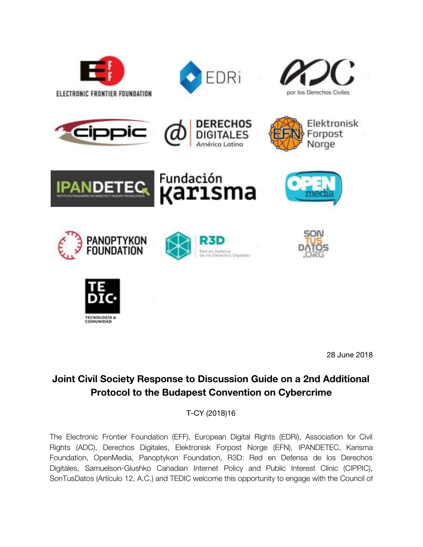

























28 June 2018

# **Joint Civil Society Response to Discussion Guide on a 2nd Additional Protocol to the Budapest Convention on Cybercrime**

T-CY (2018)16

The Electronic Frontier Foundation (EFF), European Digital Rights (EDRi), Association for Civil Rights (ADC), Derechos Digitales, Elektronisk Forpost Norge (EFN), IPANDETEC, Karisma Foundation, OpenMedia, Panoptykon Foundation, R3D: Red en Defensa de los Derechos Digitales, Samuelson-Glushko Canadian Internet Policy and Public Interest Clinic (CIPPIC), SonTusDatos (Artículo 12, A.C.) and TEDIC welcome this opportunity to engage with the Council of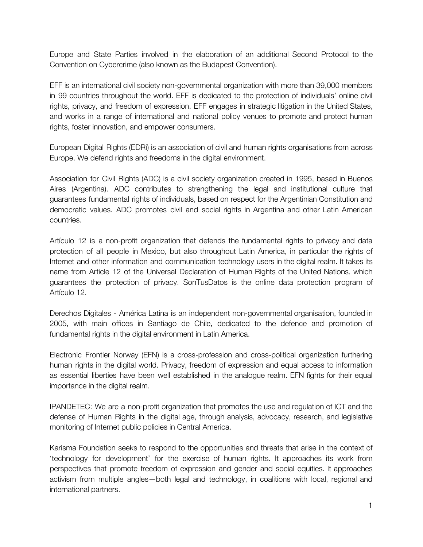Europe and State Parties involved in the elaboration of an additional Second Protocol to the Convention on Cybercrime (also known as the Budapest Convention).

EFF is an international civil society non-governmental organization with more than 39,000 members in 99 countries throughout the world. EFF is dedicated to the protection of individuals' online civil rights, privacy, and freedom of expression. EFF engages in strategic litigation in the United States, and works in a range of international and national policy venues to promote and protect human rights, foster innovation, and empower consumers.

European Digital Rights (EDRi) is an association of civil and human rights organisations from across Europe. We defend rights and freedoms in the digital environment.

Association for Civil Rights (ADC) is a civil society organization created in 1995, based in Buenos Aires (Argentina). ADC contributes to strengthening the legal and institutional culture that guarantees fundamental rights of individuals, based on respect for the Argentinian Constitution and democratic values. ADC promotes civil and social rights in Argentina and other Latin American countries.

Artículo 12 is a non-profit organization that defends the fundamental rights to privacy and data protection of all people in Mexico, but also throughout Latin America, in particular the rights of Internet and other information and communication technology users in the digital realm. It takes its name from Article 12 of the Universal Declaration of Human Rights of the United Nations, which guarantees the protection of privacy. SonTusDatos is the online data protection program of Artículo 12.

Derechos Digitales - América Latina is an independent non-governmental organisation, founded in 2005, with main offices in Santiago de Chile, dedicated to the defence and promotion of fundamental rights in the digital environment in Latin America.

Electronic Frontier Norway (EFN) is a cross-profession and cross-political organization furthering human rights in the digital world. Privacy, freedom of expression and equal access to information as essential liberties have been well established in the analogue realm. EFN fights for their equal importance in the digital realm.

IPANDETEC: We are a non-profit organization that promotes the use and regulation of ICT and the defense of Human Rights in the digital age, through analysis, advocacy, research, and legislative monitoring of Internet public policies in Central America.

Karisma Foundation seeks to respond to the opportunities and threats that arise in the context of 'technology for development' for the exercise of human rights. It approaches its work from perspectives that promote freedom of expression and gender and social equities. It approaches activism from multiple angles—both legal and technology, in coalitions with local, regional and international partners.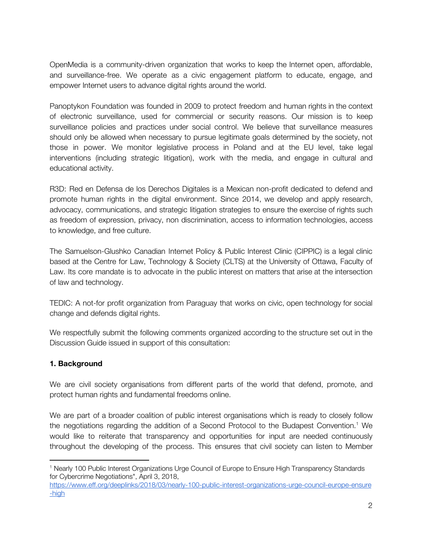OpenMedia is a community-driven organization that works to keep the Internet open, affordable, and surveillance-free. We operate as a civic engagement platform to educate, engage, and empower Internet users to advance digital rights around the world.

Panoptykon Foundation was founded in 2009 to protect freedom and human rights in the context of electronic surveillance, used for commercial or security reasons. Our mission is to keep surveillance policies and practices under social control. We believe that surveillance measures should only be allowed when necessary to pursue legitimate goals determined by the society, not those in power. We monitor legislative process in Poland and at the EU level, take legal interventions (including strategic litigation), work with the media, and engage in cultural and educational activity.

R3D: Red en Defensa de los Derechos Digitales is a Mexican non-profit dedicated to defend and promote human rights in the digital environment. Since 2014, we develop and apply research, advocacy, communications, and strategic litigation strategies to ensure the exercise of rights such as freedom of expression, privacy, non discrimination, access to information technologies, access to knowledge, and free culture.

The Samuelson-Glushko Canadian Internet Policy & Public Interest Clinic (CIPPIC) is a legal clinic based at the Centre for Law, Technology & Society (CLTS) at the University of Ottawa, Faculty of Law. Its core mandate is to advocate in the public interest on matters that arise at the intersection of law and technology.

TEDIC: A not-for profit organization from Paraguay that works on civic, open technology for social change and defends digital rights.

We respectfully submit the following comments organized according to the structure set out in the Discussion Guide issued in support of this consultation:

## **1. Background**

We are civil society organisations from different parts of the world that defend, promote, and protect human rights and fundamental freedoms online.

We are part of a broader coalition of public interest organisations which is ready to closely follow the negotiations regarding the addition of a Second Protocol to the Budapest Convention.<sup>1</sup> We would like to reiterate that transparency and opportunities for input are needed continuously throughout the developing of the process. This ensures that civil society can listen to Member

<sup>1</sup> Nearly 100 Public Interest Organizations Urge Council of Europe to Ensure High Transparency Standards for Cybercrime Negotiations", April 3, 2018,

[https://www.eff.org/deeplinks/2018/03/nearly-100-public-interest-organizations-urge-council-europe-ensure](https://www.eff.org/deeplinks/2018/03/nearly-100-public-interest-organizations-urge-council-europe-ensure-high) [-high](https://www.eff.org/deeplinks/2018/03/nearly-100-public-interest-organizations-urge-council-europe-ensure-high)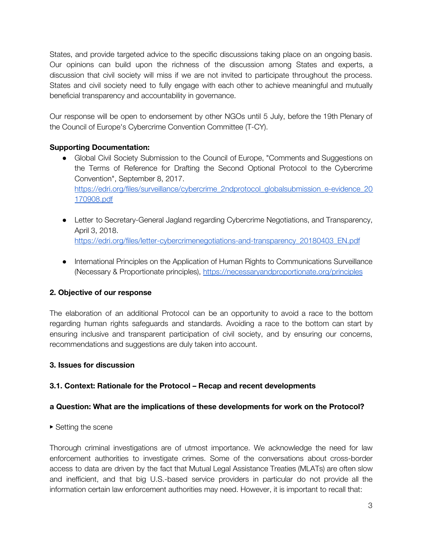States, and provide targeted advice to the specific discussions taking place on an ongoing basis. Our opinions can build upon the richness of the discussion among States and experts, a discussion that civil society will miss if we are not invited to participate throughout the process. States and civil society need to fully engage with each other to achieve meaningful and mutually beneficial transparency and accountability in governance.

Our response will be open to endorsement by other NGOs until 5 July, before the 19th Plenary of the Council of Europe's Cybercrime Convention Committee (T-CY).

## **Supporting Documentation:**

- Global Civil Society Submission to the Council of Europe, "Comments and Suggestions on the Terms of Reference for Drafting the Second Optional Protocol to the Cybercrime Convention", September 8, 2017. [https://edri.org/files/surveillance/cybercrime\\_2ndprotocol\\_globalsubmission\\_e-evidence\\_20](https://edri.org/files/surveillance/cybercrime_2ndprotocol_globalsubmission_e-evidence_20170908.pdf) [170908.pdf](https://edri.org/files/surveillance/cybercrime_2ndprotocol_globalsubmission_e-evidence_20170908.pdf)
- Letter to Secretary-General Jagland regarding Cybercrime Negotiations, and Transparency, April 3, 2018. [https://edri.org/files/letter-cybercrimenegotiations-and-transparency\\_20180403\\_EN.pdf](https://edri.org/files/letter-cybercrimenegotiations-and-transparency_20180403_EN.pdf)
- International Principles on the Application of Human Rights to Communications Surveillance (Necessary & Proportionate principles), <https://necessaryandproportionate.org/principles>

# **2. Objective of our response**

The elaboration of an additional Protocol can be an opportunity to avoid a race to the bottom regarding human rights safeguards and standards. Avoiding a race to the bottom can start by ensuring inclusive and transparent participation of civil society, and by ensuring our concerns, recommendations and suggestions are duly taken into account.

## **3. Issues for discussion**

## **3.1. Context: Rationale for the Protocol – Recap and recent developments**

## **a Question: What are the implications of these developments for work on the Protocol?**

▶ Setting the scene

Thorough criminal investigations are of utmost importance. We acknowledge the need for law enforcement authorities to investigate crimes. Some of the conversations about cross-border access to data are driven by the fact that Mutual Legal Assistance Treaties (MLATs) are often slow and inefficient, and that big U.S.-based service providers in particular do not provide all the information certain law enforcement authorities may need. However, it is important to recall that: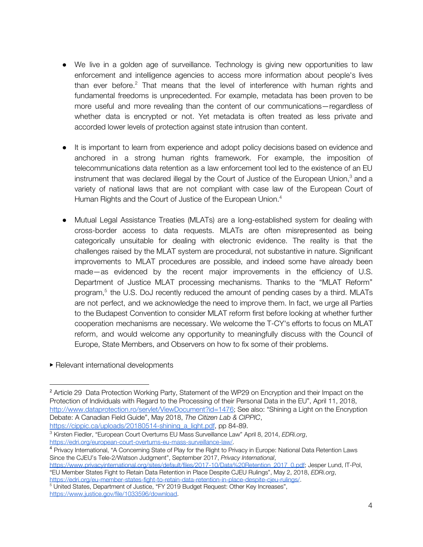- We live in a golden age of surveillance. Technology is giving new opportunities to law enforcement and intelligence agencies to access more information about people's lives than ever before. $2$  That means that the level of interference with human rights and fundamental freedoms is unprecedented. For example, metadata has been proven to be more useful and more revealing than the content of our communications—regardless of whether data is encrypted or not. Yet metadata is often treated as less private and accorded lower levels of protection against state intrusion than content.
- It is important to learn from experience and adopt policy decisions based on evidence and anchored in a strong human rights framework. For example, the imposition of telecommunications data retention as a law enforcement tool led to the existence of an EU instrument that was declared illegal by the Court of Justice of the European Union,<sup>3</sup> and a variety of national laws that are not compliant with case law of the European Court of Human Rights and the Court of Justice of the European Union.<sup>4</sup>
- Mutual Legal Assistance Treaties (MLATs) are a long-established system for dealing with cross-border access to data requests. MLATs are often misrepresented as being categorically unsuitable for dealing with electronic evidence. The reality is that the challenges raised by the MLAT system are procedural, not substantive in nature. Significant improvements to MLAT procedures are possible, and indeed some have already been made—as evidenced by the recent major improvements in the efficiency of U.S. Department of Justice MLAT processing mechanisms. Thanks to the "MLAT Reform" program,<sup>5</sup> the U.S. DoJ recently reduced the amount of pending cases by a third. MLATs are not perfect, and we acknowledge the need to improve them. In fact, we urge all Parties to the Budapest Convention to consider MLAT reform first before looking at whether further cooperation mechanisms are necessary. We welcome the T-CY's efforts to focus on MLAT reform, and would welcome any opportunity to meaningfully discuss with the Council of Europe, State Members, and Observers on how to fix some of their problems.
- ▶ Relevant international developments

[https://www.privacyinternational.org/sites/default/files/2017-10/Data%20Retention\\_2017\\_0.pdf](https://www.privacyinternational.org/sites/default/files/2017-10/Data%20Retention_2017_0.pdf); Jesper Lund, IT-Pol, "EU Member States Fight to Retain Data Retention in Place Despite CJEU Rulings", May 2, 2018, *EDRi.org*,

<https://edri.org/eu-member-states-fight-to-retain-data-retention-in-place-despite-cjeu-rulings/>. <sup>5</sup> United States, Department of Justice, "FY 2019 Budget Request: Other Key Increases", <https://www.justice.gov/file/1033596/download>.

<sup>&</sup>lt;sup>2</sup> Article 29 Data Protection Working Party, Statement of t[h](http://www.dataprotection.ro/servlet/ViewDocument?id=1476)e WP29 on Encryption and their Impact on the Protection of Individuals with Regard to the Processing of their Personal Data in the EU", April 11, 2018, <http://www.dataprotection.ro/servlet/ViewDocument?id=1476>; See also: "Shining a Light on the Encryption Debate: A Canadian Field Guide", May 2018, *The Citizen Lab & CIPPIC*, [https://cippic.ca/uploads/20180514-shining\\_a\\_light.pdf](https://cippic.ca/uploads/20180514-shining_a_light.pdf), pp 84-89.

<sup>3</sup> Kirsten Fiedler, "European Court Overturns EU Mass Surveillance Law" April 8, 2014, *EDRi.org*, [https://edri.org/european-court-overturns-eu-mass-surveillance-law/.](https://edri.org/european-court-overturns-eu-mass-surveillance-law/)

<sup>4</sup> Privacy International, "A Concerning State of Play for the Right to Privacy in Europe: National Data Retention Laws Since the CJEU's Tele-2/Watson Judgment", September 2017, *Privacy International*,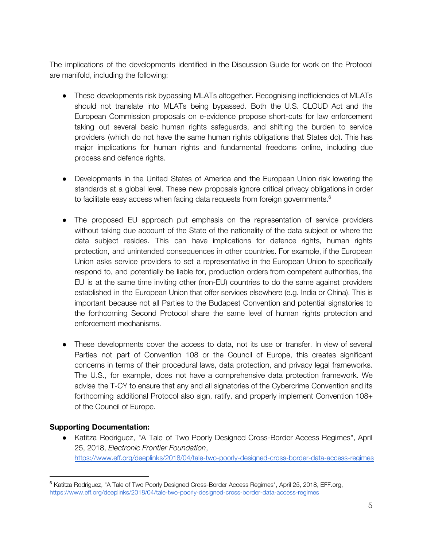The implications of the developments identified in the Discussion Guide for work on the Protocol are manifold, including the following:

- These developments risk bypassing MLATs altogether. Recognising inefficiencies of MLATs should not translate into MLATs being bypassed. Both the U.S. CLOUD Act and the European Commission proposals on e-evidence propose short-cuts for law enforcement taking out several basic human rights safeguards, and shifting the burden to service providers (which do not have the same human rights obligations that States do). This has major implications for human rights and fundamental freedoms online, including due process and defence rights.
- Developments in the United States of America and the European Union risk lowering the standards at a global level. These new proposals ignore critical privacy obligations in order to facilitate easy access when facing data requests from foreign governments. $^{\rm 6}$
- The proposed EU approach put emphasis on the representation of service providers without taking due account of the State of the nationality of the data subject or where the data subject resides. This can have implications for defence rights, human rights protection, and unintended consequences in other countries. For example, if the European Union asks service providers to set a representative in the European Union to specifically respond to, and potentially be liable for, production orders from competent authorities, the EU is at the same time inviting other (non-EU) countries to do the same against providers established in the European Union that offer services elsewhere (e.g. India or China). This is important because not all Parties to the Budapest Convention and potential signatories to the forthcoming Second Protocol share the same level of human rights protection and enforcement mechanisms.
- These developments cover the access to data, not its use or transfer. In view of several Parties not part of Convention 108 or the Council of Europe, this creates significant concerns in terms of their procedural laws, data protection, and privacy legal frameworks. The U.S., for example, does not have a comprehensive data protection framework. We advise the T-CY to ensure that any and all signatories of the Cybercrime Convention and its forthcoming additional Protocol also sign, ratify, and properly implement Convention 108+ of the Council of Europe.

## **Supporting Documentation:**

● Katitza Rodriguez, "A Tale of Two Poorly Designed Cross-Border Access Regimes", April 25, 2018, *Electronic Frontier Foundation*, <https://www.eff.org/deeplinks/2018/04/tale-two-poorly-designed-cross-border-data-access-regimes>

<sup>&</sup>lt;sup>6</sup> Katitza Rodriguez[,](https://www.eff.org/deeplinks/2018/04/tale-two-poorly-designed-cross-border-data-access-regimes) "A Tale of Two Poorly Designed Cross-Border Access Regimes", April 25, 2018, EFF.org, <https://www.eff.org/deeplinks/2018/04/tale-two-poorly-designed-cross-border-data-access-regimes>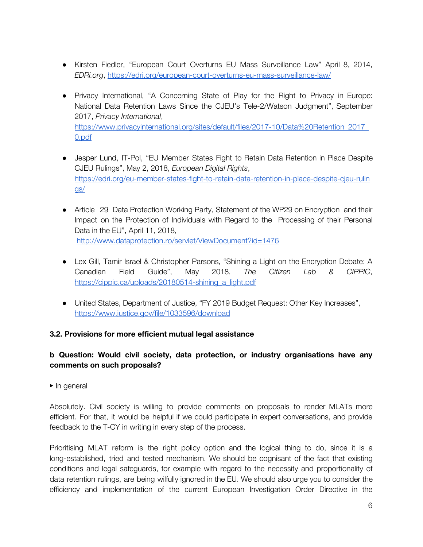- Kirsten Fiedler, "European Court Overturns EU Mass Surveillance Law" April 8, 2014, *EDRi.org*, <https://edri.org/european-court-overturns-eu-mass-surveillance-law/>
- Privacy International, "A Concerning State of Play for the Right to Privacy in Europe: National Data Retention Laws Since the CJEU's Tele-2/Watson Judgment", September 2017, *Privacy International*[,](https://www.privacyinternational.org/sites/default/files/2017-10/Data%20Retention_2017_0.pdf) [https://www.privacyinternational.org/sites/default/files/2017-10/Data%20Retention\\_2017\\_](https://www.privacyinternational.org/sites/default/files/2017-10/Data%20Retention_2017_0.pdf) [0.pdf](https://www.privacyinternational.org/sites/default/files/2017-10/Data%20Retention_2017_0.pdf)
- Jesper Lund, IT-Pol, "EU Member States Fight to Retain Data Retention in Place Despite CJEU Rulings", May 2, 2018, *European Digital Rights*, [https://edri.org/eu-member-states-fight-to-retain-data-retention-in-place-despite-cjeu-rulin](https://edri.org/eu-member-states-fight-to-retain-data-retention-in-place-despite-cjeu-rulings/) [gs/](https://edri.org/eu-member-states-fight-to-retain-data-retention-in-place-despite-cjeu-rulings/)
- Article 29 Data Protection Working Party, Statement of the WP29 on Encryption and their Impact on the Protection of Individuals with Regard to the Processing of their Personal Data in the EU", April 11, 2018, <http://www.dataprotection.ro/servlet/ViewDocument?id=1476>
- Lex Gill, Tamir Israel & Christopher Parsons, "Shining a Light on the Encryption Debate: A Canadian Field Guide", May 2018, *The Citizen Lab & CIPPIC*[,](https://cippic.ca/uploads/20180514-shining_a_light.pdf) [https://cippic.ca/uploads/20180514-shining\\_a\\_light.pdf](https://cippic.ca/uploads/20180514-shining_a_light.pdf)
- United States, Department of Justice, "FY 2019 Budget Request: Other Key Increases", <https://www.justice.gov/file/1033596/download>

## **3.2. Provisions for more efficient mutual legal assistance**

## **b Question: Would civil society, data protection, or industry organisations have any comments on such proposals?**

▶ In general

Absolutely. Civil society is willing to provide comments on proposals to render MLATs more efficient. For that, it would be helpful if we could participate in expert conversations, and provide feedback to the T-CY in writing in every step of the process.

Prioritising MLAT reform is the right policy option and the logical thing to do, since it is a long-established, tried and tested mechanism. We should be cognisant of the fact that existing conditions and legal safeguards, for example with regard to the necessity and proportionality of data retention rulings, are being wilfully ignored in the EU. We should also urge you to consider the efficiency and implementation of the current European Investigation Order Directive in the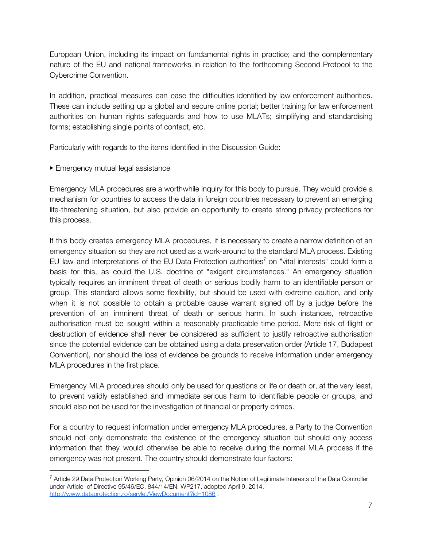European Union, including its impact on fundamental rights in practice; and the complementary nature of the EU and national frameworks in relation to the forthcoming Second Protocol to the Cybercrime Convention.

In addition, practical measures can ease the difficulties identified by law enforcement authorities. These can include setting up a global and secure online portal; better training for law enforcement authorities on human rights safeguards and how to use MLATs; simplifying and standardising forms; establishing single points of contact, etc.

Particularly with regards to the items identified in the Discussion Guide:

▶ Emergency mutual legal assistance

Emergency MLA procedures are a worthwhile inquiry for this body to pursue. They would provide a mechanism for countries to access the data in foreign countries necessary to prevent an emerging life-threatening situation, but also provide an opportunity to create strong privacy protections for this process.

If this body creates emergency MLA procedures, it is necessary to create a narrow definition of an emergency situation so they are not used as a work-around to the standard MLA process. Existing EU law and interpretations of the EU Data Protection authorities<sup>7</sup> on "vital interests" could form a basis for this, as could the U.S. doctrine of "exigent circumstances." An emergency situation typically requires an imminent threat of death or serious bodily harm to an identifiable person or group. This standard allows some flexibility, but should be used with extreme caution, and only when it is not possible to obtain a probable cause warrant signed off by a judge before the prevention of an imminent threat of death or serious harm. In such instances, retroactive authorisation must be sought within a reasonably practicable time period. Mere risk of flight or destruction of evidence shall never be considered as sufficient to justify retroactive authorisation since the potential evidence can be obtained using a data preservation order (Article 17, Budapest Convention), nor should the loss of evidence be grounds to receive information under emergency MLA procedures in the first place.

Emergency MLA procedures should only be used for questions or life or death or, at the very least, to prevent validly established and immediate serious harm to identifiable people or groups, and should also not be used for the investigation of financial or property crimes.

For a country to request information under emergency MLA procedures, a Party to the Convention should not only demonstrate the existence of the emergency situation but should only access information that they would otherwise be able to receive during the normal MLA process if the emergency was not present. The country should demonstrate four factors:

<sup>7</sup> Article 29 Data Protection Working Party, Opinion 06/2014 on the Notion of Legitimate Interests of the Data Controller under Article of Directive 95/46/EC, 844/14/EN, WP217, adopted April 9, 2014, http://www.dataprotection.ro/servlet/ViewDocument?id=1086.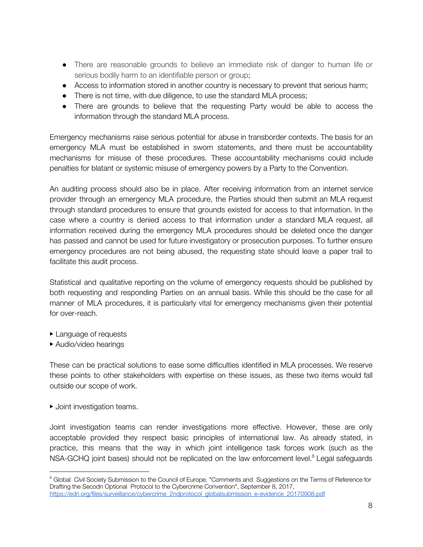- There are reasonable grounds to believe an immediate risk of danger to human life or serious bodily harm to an identifiable person or group;
- Access to information stored in another country is necessary to prevent that serious harm;
- There is not time, with due diligence, to use the standard MLA process;
- There are grounds to believe that the requesting Party would be able to access the information through the standard MLA process.

Emergency mechanisms raise serious potential for abuse in transborder contexts. The basis for an emergency MLA must be established in sworn statements, and there must be accountability mechanisms for misuse of these procedures. These accountability mechanisms could include penalties for blatant or systemic misuse of emergency powers by a Party to the Convention.

An auditing process should also be in place. After receiving information from an internet service provider through an emergency MLA procedure, the Parties should then submit an MLA request through standard procedures to ensure that grounds existed for access to that information. In the case where a country is denied access to that information under a standard MLA request, all information received during the emergency MLA procedures should be deleted once the danger has passed and cannot be used for future investigatory or prosecution purposes. To further ensure emergency procedures are not being abused, the requesting state should leave a paper trail to facilitate this audit process.

Statistical and qualitative reporting on the volume of emergency requests should be published by both requesting and responding Parties on an annual basis. While this should be the case for all manner of MLA procedures, it is particularly vital for emergency mechanisms given their potential for over-reach.

- ▶ Language of requests
- ▶ Audio/video hearings

These can be practical solutions to ease some difficulties identified in MLA processes. We reserve these points to other stakeholders with expertise on these issues, as these two items would fall outside our scope of work.

▶ Joint investigation teams.

Joint investigation teams can render investigations more effective. However, these are only acceptable provided they respect basic principles of international law. As already stated, in practice, this means that the way in which joint intelligence task forces work (such as the NSA-GCHQ joint bases) should not be replicated on the law enforcement level.<sup>8</sup> Legal safeguards

<sup>&</sup>lt;sup>8</sup> Global Civil Society Submission to the Council of Europe, "Comments and Suggestions on the Terms of Reference for Drafting the Secodn Optional Protocol to the Cybercrime Convention", September 8, 2017, [https://edri.org/files/surveillance/cybercrime\\_2ndprotocol\\_globalsubmission\\_e-evidence\\_20170908.pdf](https://edri.org/files/surveillance/cybercrime_2ndprotocol_globalsubmission_e-evidence_20170908.pdf)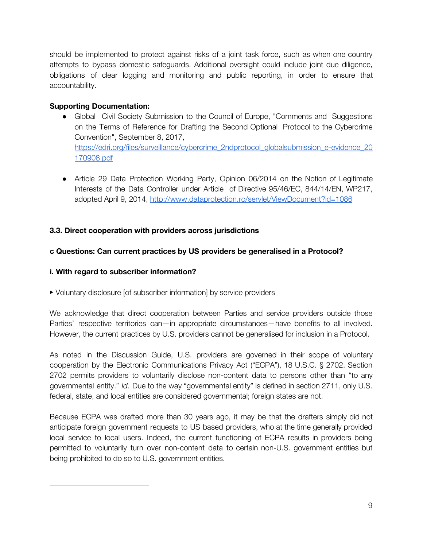should be implemented to protect against risks of a joint task force, such as when one country attempts to bypass domestic safeguards. Additional oversight could include joint due diligence, obligations of clear logging and monitoring and public reporting, in order to ensure that accountability.

## **Supporting Documentation:**

- Global Civil Society Submission to the Council of Europe, "Comments and Suggestions on the Terms of Reference for Drafting the Second Optional Protocol to the Cybercrime Convention", September 8, 2017[,](https://edri.org/files/surveillance/cybercrime_2ndprotocol_globalsubmission_e-evidence_20170908.pdf) [https://edri.org/files/surveillance/cybercrime\\_2ndprotocol\\_globalsubmission\\_e-evidence\\_20](https://edri.org/files/surveillance/cybercrime_2ndprotocol_globalsubmission_e-evidence_20170908.pdf) [170908.pdf](https://edri.org/files/surveillance/cybercrime_2ndprotocol_globalsubmission_e-evidence_20170908.pdf)
- Article 29 Data Protection Working Party, Opinion 06/2014 on the Notion of Legitimate Interests of the Data Controller under Article of Directive 95/46/EC, 844/14/EN, WP217, adopted April 9, 2014, <http://www.dataprotection.ro/servlet/ViewDocument?id=1086>

## **3.3. Direct cooperation with providers across jurisdictions**

## **c Questions: Can current practices by US providers be generalised in a Protocol?**

## **i. With regard to subscriber information?**

▶ Voluntary disclosure [of subscriber information] by service providers

We acknowledge that direct cooperation between Parties and service providers outside those Parties' respective territories can—in appropriate circumstances—have benefits to all involved. However, the current practices by U.S. providers cannot be generalised for inclusion in a Protocol.

As noted in the Discussion Guide, U.S. providers are governed in their scope of voluntary cooperation by the Electronic Communications Privacy Act ("ECPA"), 18 U.S.C. § 2702. Section 2702 permits providers to voluntarily disclose non-content data to persons other than "to any governmental entity." *Id*. Due to the way "governmental entity" is defined in section 2711, only U.S. federal, state, and local entities are considered governmental; foreign states are not.

Because ECPA was drafted more than 30 years ago, it may be that the drafters simply did not anticipate foreign government requests to US based providers, who at the time generally provided local service to local users. Indeed, the current functioning of ECPA results in providers being permitted to voluntarily turn over non-content data to certain non-U.S. government entities but being prohibited to do so to U.S. government entities.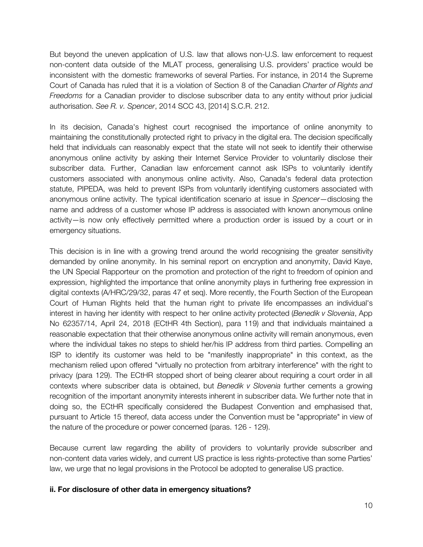But beyond the uneven application of U.S. law that allows non-U.S. law enforcement to request non-content data outside of the MLAT process, generalising U.S. providers' practice would be inconsistent with the domestic frameworks of several Parties. For instance, in 2014 the Supreme Court of Canada has ruled that it is a violation of Section 8 of the Canadian *Charter of Rights and Freedoms* for a Canadian provider to disclose subscriber data to any entity without prior judicial authorisation. *See R. v. Spencer*, 2014 SCC 43, [2014] S.C.R. 212.

In its decision, Canada's highest court recognised the importance of online anonymity to maintaining the constitutionally protected right to privacy in the digital era. The decision specifically held that individuals can reasonably expect that the state will not seek to identify their otherwise anonymous online activity by asking their Internet Service Provider to voluntarily disclose their subscriber data. Further, Canadian law enforcement cannot ask ISPs to voluntarily identify customers associated with anonymous online activity. Also, Canada's federal data protection statute, PIPEDA, was held to prevent ISPs from voluntarily identifying customers associated with anonymous online activity. The typical identification scenario at issue in *Spencer*—disclosing the name and address of a customer whose IP address is associated with known anonymous online activity—is now only effectively permitted where a production order is issued by a court or in emergency situations.

This decision is in line with a growing trend around the world recognising the greater sensitivity demanded by online anonymity. In his seminal report on encryption and anonymity, David Kaye, the UN Special Rapporteur on the promotion and protection of the right to freedom of opinion and expression, highlighted the importance that online anonymity plays in furthering free expression in digital contexts (A/HRC/29/32, paras 47 et seq). More recently, the Fourth Section of the European Court of Human Rights held that the human right to private life encompasses an individual's interest in having her identity with respect to her online activity protected (*Benedik v Slovenia*, App No 62357/14, April 24, 2018 (ECtHR 4th Section), para 119) and that individuals maintained a reasonable expectation that their otherwise anonymous online activity will remain anonymous, even where the individual takes no steps to shield her/his IP address from third parties. Compelling an ISP to identify its customer was held to be "manifestly inappropriate" in this context, as the mechanism relied upon offered "virtually no protection from arbitrary interference" with the right to privacy (para 129). The ECtHR stopped short of being clearer about requiring a court order in all contexts where subscriber data is obtained, but *Benedik v Slovenia* further cements a growing recognition of the important anonymity interests inherent in subscriber data. We further note that in doing so, the ECtHR specifically considered the Budapest Convention and emphasised that, pursuant to Article 15 thereof, data access under the Convention must be "appropriate" in view of the nature of the procedure or power concerned (paras. 126 - 129).

Because current law regarding the ability of providers to voluntarily provide subscriber and non-content data varies widely, and current US practice is less rights-protective than some Parties' law, we urge that no legal provisions in the Protocol be adopted to generalise US practice.

#### **ii. For disclosure of other data in emergency situations?**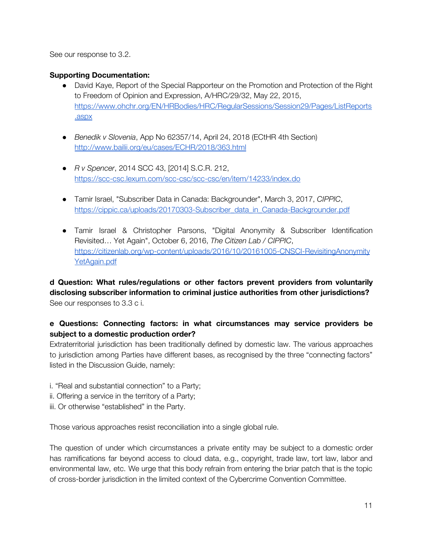See our response to 3.2.

#### **Supporting Documentation:**

- David Kaye, Report of the Special Rapporteur on the Promotion and Protection of the Right to Freedom of Opinion and Expression, A/HRC/29/32, May 22, 2015[,](https://www.ohchr.org/EN/HRBodies/HRC/RegularSessions/Session29/Pages/ListReports.aspx) [https://www.ohchr.org/EN/HRBodies/HRC/RegularSessions/Session29/Pages/ListReports](https://www.ohchr.org/EN/HRBodies/HRC/RegularSessions/Session29/Pages/ListReports.aspx) [.aspx](https://www.ohchr.org/EN/HRBodies/HRC/RegularSessions/Session29/Pages/ListReports.aspx)
- *Benedik v Slovenia*, App No 62357/14, April 24, 2018 (ECtHR 4th Section) <http://www.bailii.org/eu/cases/ECHR/2018/363.html>
- *R v Spencer*, 2014 SCC 43, [2014] S.C.R. 212, <https://scc-csc.lexum.com/scc-csc/scc-csc/en/item/14233/index.do>
- Tamir Israel, "Subscriber Data in Canada: Backgrounder", March 3, 2017, *CIPPIC*[,](https://cippic.ca/uploads/20170303-Subscriber_data_in_Canada-Backgrounder.pdf) [https://cippic.ca/uploads/20170303-Subscriber\\_data\\_in\\_Canada-Backgrounder.pdf](https://cippic.ca/uploads/20170303-Subscriber_data_in_Canada-Backgrounder.pdf)
- Tamir Israel & Christopher Parsons, "Digital Anonymity & Subscriber Identification Revisited… Yet Again", October 6, 2016, *The Citizen Lab / CIPPIC*[,](https://citizenlab.org/wp-content/uploads/2016/10/20161005-CNSCI-RevisitingAnonymityYetAgain.pdf) [https://citizenlab.org/wp-content/uploads/2016/10/20161005-CNSCI-RevisitingAnonymity](https://citizenlab.org/wp-content/uploads/2016/10/20161005-CNSCI-RevisitingAnonymityYetAgain.pdf) [YetAgain.pdf](https://citizenlab.org/wp-content/uploads/2016/10/20161005-CNSCI-RevisitingAnonymityYetAgain.pdf)

**d Question: What rules/regulations or other factors prevent providers from voluntarily disclosing subscriber information to criminal justice authorities from other jurisdictions?** See our responses to 3.3 c i.

## **e Questions: Connecting factors: in what circumstances may service providers be subject to a domestic production order?**

Extraterritorial jurisdiction has been traditionally defined by domestic law. The various approaches to jurisdiction among Parties have different bases, as recognised by the three "connecting factors" listed in the Discussion Guide, namely:

i. "Real and substantial connection" to a Party;

- ii. Offering a service in the territory of a Party;
- iii. Or otherwise "established" in the Party.

Those various approaches resist reconciliation into a single global rule.

The question of under which circumstances a private entity may be subject to a domestic order has ramifications far beyond access to cloud data, e.g., copyright, trade law, tort law, labor and environmental law, etc. We urge that this body refrain from entering the briar patch that is the topic of cross-border jurisdiction in the limited context of the Cybercrime Convention Committee.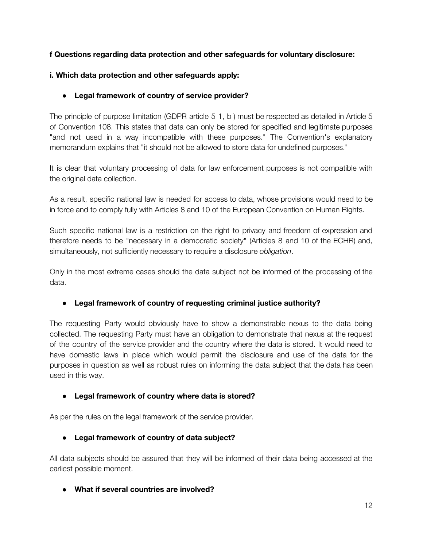## **f Questions regarding data protection and other safeguards for voluntary disclosure:**

## **i. Which data protection and other safeguards apply:**

## **● Legal framework of country of service provider?**

The principle of purpose limitation (GDPR article 5 1, b ) must be respected as detailed in Article 5 of Convention 108. This states that data can only be stored for specified and legitimate purposes "and not used in a way incompatible with these purposes." The Convention's explanatory memorandum explains that "it should not be allowed to store data for undefined purposes."

It is clear that voluntary processing of data for law enforcement purposes is not compatible with the original data collection.

As a result, specific national law is needed for access to data, whose provisions would need to be in force and to comply fully with Articles 8 and 10 of the European Convention on Human Rights.

Such specific national law is a restriction on the right to privacy and freedom of expression and therefore needs to be "necessary in a democratic society" (Articles 8 and 10 of the ECHR) and, simultaneously, not sufficiently necessary to require a disclosure *obligation*.

Only in the most extreme cases should the data subject not be informed of the processing of the data.

## **● Legal framework of country of requesting criminal justice authority?**

The requesting Party would obviously have to show a demonstrable nexus to the data being collected. The requesting Party must have an obligation to demonstrate that nexus at the request of the country of the service provider and the country where the data is stored. It would need to have domestic laws in place which would permit the disclosure and use of the data for the purposes in question as well as robust rules on informing the data subject that the data has been used in this way.

## **● Legal framework of country where data is stored?**

As per the rules on the legal framework of the service provider.

## **● Legal framework of country of data subject?**

All data subjects should be assured that they will be informed of their data being accessed at the earliest possible moment.

## **● What if several countries are involved?**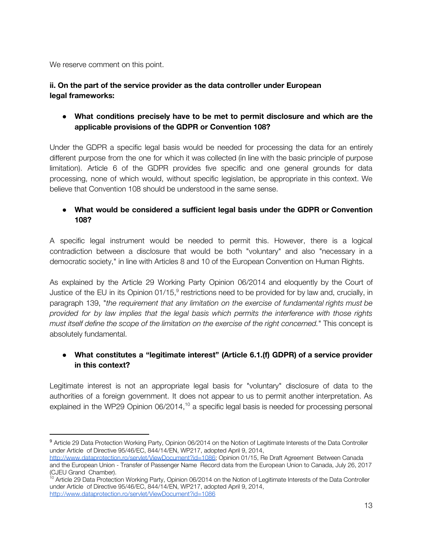We reserve comment on this point.

## **ii. On the part of the service provider as the data controller under European legal frameworks:**

**● What conditions precisely have to be met to permit disclosure and which are the applicable provisions of the GDPR or Convention 108?**

Under the GDPR a specific legal basis would be needed for processing the data for an entirely different purpose from the one for which it was collected (in line with the basic principle of purpose limitation). Article 6 of the GDPR provides five specific and one general grounds for data processing, none of which would, without specific legislation, be appropriate in this context. We believe that Convention 108 should be understood in the same sense.

## **● What would be considered a sufficient legal basis under the GDPR or Convention 108?**

A specific legal instrument would be needed to permit this. However, there is a logical contradiction between a disclosure that would be both "voluntary" and also "necessary in a democratic society," in line with Articles 8 and 10 of the European Convention on Human Rights.

As explained by the Article 29 Working Party Opinion 06/2014 and eloquently by the Court of Justice of the EU in its Opinion 01/15, $^9$  restrictions need to be provided for by law and, crucially, in paragraph 139, "*the requirement that any limitation on the exercise of fundamental rights must be provided for by law implies that the legal basis which permits the interference with those rights must itself define the scope of the limitation on the exercise of the right concerned.*" This concept is absolutely fundamental.

# **● What constitutes a "legitimate interest" (Article 6.1.(f) GDPR) of a service provider in this context?**

Legitimate interest is not an appropriate legal basis for "voluntary" disclosure of data to the authorities of a foreign government. It does not appear to us to permit another interpretation. As explained in the WP29 Opinion 06/2014, $10$  a specific legal basis is needed for processing personal

<sup>9</sup> Article 29 Data Protection Working Party, Opinion 06/2014 on the Notion of Legitimate Interests of the Data Controller under Article of Directive 95/46/EC, 844/14/EN, WP217, adopted April 9, 2014,

[http://www.dataprotection.ro/servlet/ViewDocument?id=1086;](http://www.dataprotection.ro/servlet/ViewDocument?id=1086) Opinion 01/15, Re Draft Agreement Between Canada and the European Union - Transfer of Passenger Name Record data from the European Union to Canada, July 26, 2017 (CJEU Grand Chamber).

<sup>&</sup>lt;sup>10</sup> Article 29 Data Protection Working Party, Opinion 06/2014 on the Notion of Legitimate Interests of the Data Controller under Article of Directive 95/46/EC, 844/14/EN, WP217, adopted April 9, 2014, <http://www.dataprotection.ro/servlet/ViewDocument?id=1086>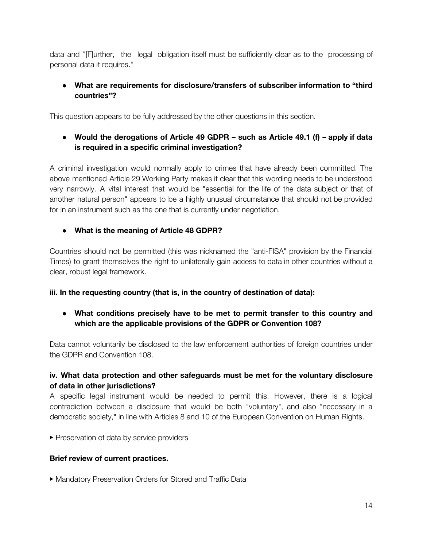data and "[F]urther, the legal obligation itself must be sufficiently clear as to the processing of personal data it requires."

## **● What are requirements for disclosure/transfers of subscriber information to "third countries"?**

This question appears to be fully addressed by the other questions in this section.

# **● Would the derogations of Article 49 GDPR – such as Article 49.1 (f) – apply if data is required in a specific criminal investigation?**

A criminal investigation would normally apply to crimes that have already been committed. The above mentioned Article 29 Working Party makes it clear that this wording needs to be understood very narrowly. A vital interest that would be "essential for the life of the data subject or that of another natural person" appears to be a highly unusual circumstance that should not be provided for in an instrument such as the one that is currently under negotiation.

## **● What is the meaning of Article 48 GDPR?**

Countries should not be permitted (this was nicknamed the "anti-FISA" provision by the Financial Times) to grant themselves the right to unilaterally gain access to data in other countries without a clear, robust legal framework.

## **iii. In the requesting country (that is, in the country of destination of data):**

## **● What conditions precisely have to be met to permit transfer to this country and which are the applicable provisions of the GDPR or Convention 108?**

Data cannot voluntarily be disclosed to the law enforcement authorities of foreign countries under the GDPR and Convention 108.

## **iv. What data protection and other safeguards must be met for the voluntary disclosure of data in other jurisdictions?**

A specific legal instrument would be needed to permit this. However, there is a logical contradiction between a disclosure that would be both "voluntary", and also "necessary in a democratic society," in line with Articles 8 and 10 of the European Convention on Human Rights.

▶ Preservation of data by service providers

## **Brief review of current practices.**

▶ Mandatory Preservation Orders for Stored and Traffic Data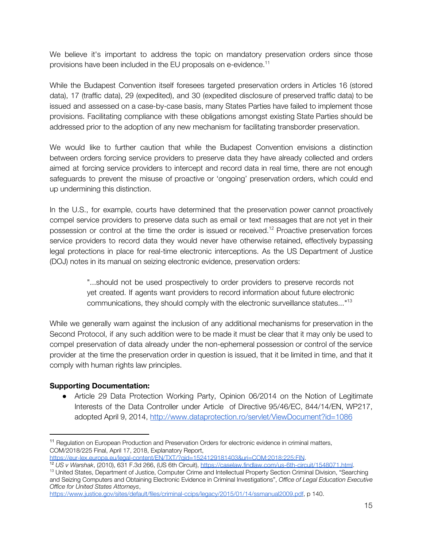We believe it's important to address the topic on mandatory preservation orders since those provisions have been included in the EU proposals on e-evidence. 11

While the Budapest Convention itself foresees targeted preservation orders in Articles 16 (stored data), 17 (traffic data), 29 (expedited), and 30 (expedited disclosure of preserved traffic data) to be issued and assessed on a case-by-case basis, many States Parties have failed to implement those provisions. Facilitating compliance with these obligations amongst existing State Parties should be addressed prior to the adoption of any new mechanism for facilitating transborder preservation.

We would like to further caution that while the Budapest Convention envisions a distinction between orders forcing service providers to preserve data they have already collected and orders aimed at forcing service providers to intercept and record data in real time, there are not enough safeguards to prevent the misuse of proactive or 'ongoing' preservation orders, which could end up undermining this distinction.

In the U.S., for example, courts have determined that the preservation power cannot proactively compel service providers to preserve data such as email or text messages that are not yet in their possession or control at the time the order is issued or received.<sup>12</sup> Proactive preservation forces service providers to record data they would never have otherwise retained, effectively bypassing legal protections in place for real-time electronic interceptions. As the US Department of Justice (DOJ) notes in its manual on seizing electronic evidence, preservation orders:

> "...should not be used prospectively to order providers to preserve records not yet created. If agents want providers to record information about future electronic communications, they should comply with the electronic surveillance statutes..."<sup>13</sup>

While we generally warn against the inclusion of any additional mechanisms for preservation in the Second Protocol, if any such addition were to be made it must be clear that it may only be used to compel preservation of data already under the non-ephemeral possession or control of the service provider at the time the preservation order in question is issued, that it be limited in time, and that it comply with human rights law principles.

## **Supporting Documentation:**

• Article 29 Data Protection Working Party, Opinion 06/2014 on the Notion of Legitimate Interests of the Data Controller under Article of Directive 95/46/EC, 844/14/EN, WP217, adopted April 9, 2014, <http://www.dataprotection.ro/servlet/ViewDocument?id=1086>

<sup>12</sup> *US v Warshak*, (2010), 631 F.3d 266, (US 6th Circuit), [https://caselaw.findlaw.com/us-6th-circuit/1548071.html.](https://caselaw.findlaw.com/us-6th-circuit/1548071.html)

<sup>&</sup>lt;sup>11</sup> Regulation on European Production and Preservation Orders for electronic evidence in criminal matters, COM/2018/225 Final, April 17, 2018, Explanatory Report, https://eur-lex.europa.eu/legal-content/EN/TXT/?gid=1524129181403&uri=COM:2018:225:FIN.

<sup>&</sup>lt;sup>13</sup> United States, Department of Justice, Computer Crime and Intellectual Property Section Criminal Division, "Searching and Seizing Computers and Obtaining Electronic Evidence in Criminal Investigations", *Office of Legal Education Executive Office for United States Attorneys*,

[https://www.justice.gov/sites/default/files/criminal-ccips/legacy/2015/01/14/ssmanual2009.pdf,](https://www.justice.gov/sites/default/files/criminal-ccips/legacy/2015/01/14/ssmanual2009.pdf) p 140.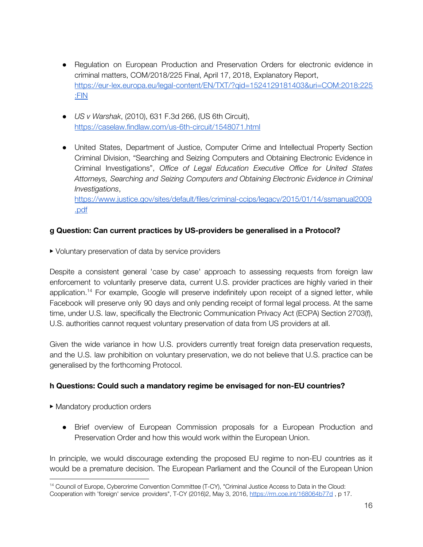- Regulation on European Production and Preservation Orders for electronic evidence in criminal matters, COM/2018/225 Final, April 17, 2018, Explanatory Report, [https://eur-lex.europa.eu/legal-content/EN/TXT/?qid=1524129181403&uri=COM:2018:225](https://eur-lex.europa.eu/legal-content/EN/TXT/?qid=1524129181403&uri=COM:2018:225:FIN) [:FIN](https://eur-lex.europa.eu/legal-content/EN/TXT/?qid=1524129181403&uri=COM:2018:225:FIN)
- *US v Warshak*, (2010), 631 F.3d 266, (US 6th Circuit), <https://caselaw.findlaw.com/us-6th-circuit/1548071.html>
- United States, Department of Justice, Computer Crime and Intellectual Property Section Criminal Division, "Searching and Seizing Computers and Obtaining Electronic Evidence in Criminal Investigations", *Office of Legal Education Executive Office for United States Attorneys, Searching and Seizing Computers and Obtaining Electronic Evidence in Criminal Investigations*,

[https://www.justice.gov/sites/default/files/criminal-ccips/legacy/2015/01/14/ssmanual2009](https://www.justice.gov/sites/default/files/criminal-ccips/legacy/2015/01/14/ssmanual2009.pdf) [.pdf](https://www.justice.gov/sites/default/files/criminal-ccips/legacy/2015/01/14/ssmanual2009.pdf)

## **g Question: Can current practices by US-providers be generalised in a Protocol?**

▶ Voluntary preservation of data by service providers

Despite a consistent general 'case by case' approach to assessing requests from foreign law enforcement to voluntarily preserve data, current U.S. provider practices are highly varied in their application.<sup>14</sup> For example, Google will preserve indefinitely upon receipt of a signed letter, while Facebook will preserve only 90 days and only pending receipt of formal legal process. At the same time, under U.S. law, specifically the Electronic Communication Privacy Act (ECPA) Section 2703(f), U.S. authorities cannot request voluntary preservation of data from US providers at all.

Given the wide variance in how U.S. providers currently treat foreign data preservation requests, and the U.S. law prohibition on voluntary preservation, we do not believe that U.S. practice can be generalised by the forthcoming Protocol.

# **h Questions: Could such a mandatory regime be envisaged for non-EU countries?**

- ▶ Mandatory production orders
	- Brief overview of European Commission proposals for a European Production and Preservation Order and how this would work within the European Union.

In principle, we would discourage extending the proposed EU regime to non-EU countries as it would be a premature decision. The European Parliament and the Council of the European Union

<sup>&</sup>lt;sup>14</sup> Council of Europe, Cybercrime Convention Committee (T-CY), "Criminal Justice Access to Data in the Cloud: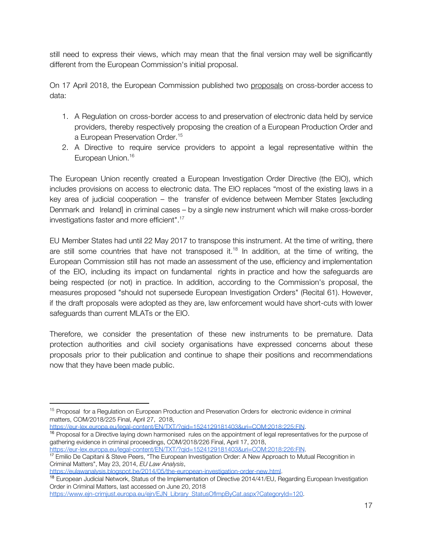still need to express their views, which may mean that the final version may well be significantly different from the European Commission's initial proposal.

On 17 April 2018, the European Commission published two proposals on cross-border access to data:

- 1. A Regulation on cross-border access to and preservation of electronic data held by service providers, thereby respectively proposing the creation of a European Production Order and a European Preservation Order. 15
- 2. A Directive to require service providers to appoint a legal representative within the European Union. 16

The European Union recently created a European Investigation Order Directive (the EIO), which includes provisions on access to electronic data. The EIO replaces "most of the existing laws in a key area of judicial cooperation – the transfer of evidence between Member States [excluding Denmark and Ireland] in criminal cases – by a single new instrument which will make cross-border investigations faster and more efficient". 17

EU Member States had until 22 May 2017 to transpose this instrument. At the time of writing, there are still some countries that have not transposed it.<sup>18</sup> In addition, at the time of writing, the European Commission still has not made an assessment of the use, efficiency and implementation of the EIO, including its impact on fundamental rights in practice and how the safeguards are being respected (or not) in practice. In addition, according to the Commission's proposal, the measures proposed "should not supersede European Investigation Orders" (Recital 61). However, if the draft proposals were adopted as they are, law enforcement would have short-cuts with lower safeguards than current MLATs or the EIO.

Therefore, we consider the presentation of these new instruments to be premature. Data protection authorities and civil society organisations have expressed concerns about these proposals prior to their publication and continue to shape their positions and recommendations now that they have been made public.

<https://eur-lex.europa.eu/legal-content/EN/TXT/?qid=1524129181403&uri=COM:2018:225:FIN>.

<https://eulawanalysis.blogspot.be/2014/05/the-european-investigation-order-new.html>.

https://www.ein-crimiust.europa.eu/ein/EJN\_Library\_StatusOfImpByCat.aspx?CategoryId=120.

<sup>&</sup>lt;sup>15</sup> Proposal for a Regulation on European Production and Preservation Orders for electronic evidence in criminal matters, COM/2018/225 Final, April 27, 2018,

<sup>&</sup>lt;sup>16</sup> Proposal for a Directive laying down harmonised rules on the appointment of legal representatives for the purpose of gathering evidence in criminal proceedings, COM/2018/226 Final, April 17, 2018, <https://eur-lex.europa.eu/legal-content/EN/TXT/?qid=1524129181403&uri=COM:2018:226:FIN>.

<sup>&</sup>lt;sup>17</sup> Emilio De Capitani & Steve Peers, "The European Investigation Order: A New Approach to Mutual Recognition in Criminal Matters", May 23, 2014, *EU Law Analysis*,

<sup>&</sup>lt;sup>18</sup> European Judicial Network, Status of the Implementation of Directive 2014/41/EU, Regarding European Investigation Order in Criminal Matters, last accessed on June 20, 2018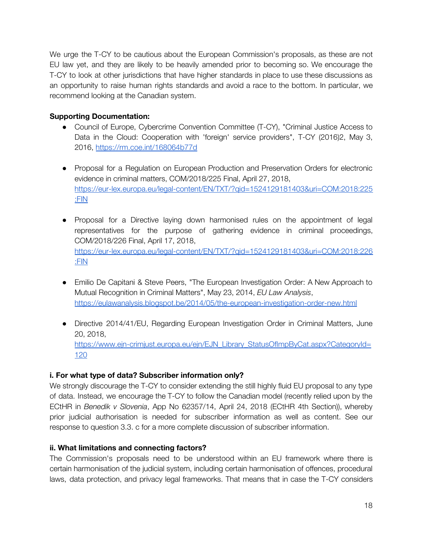We urge the T-CY to be cautious about the European Commission's proposals, as these are not EU law yet, and they are likely to be heavily amended prior to becoming so. We encourage the T-CY to look at other jurisdictions that have higher standards in place to use these discussions as an opportunity to raise human rights standards and avoid a race to the bottom. In particular, we recommend looking at the Canadian system.

## **Supporting Documentation:**

- Council of Europe, Cybercrime Convention Committee (T-CY), "Criminal Justice Access to Data in the Cloud: Cooperation with 'foreign' service providers", T-CY (2016)2, May 3, 2016, <https://rm.coe.int/168064b77d>
- Proposal for a Regulation on European Production and Preservation Orders for electronic evidence in criminal matters, COM/2018/225 Final, April 27, 2018, [https://eur-lex.europa.eu/legal-content/EN/TXT/?qid=1524129181403&uri=COM:2018:225](https://eur-lex.europa.eu/legal-content/EN/TXT/?qid=1524129181403&uri=COM:2018:225:FIN) [:FIN](https://eur-lex.europa.eu/legal-content/EN/TXT/?qid=1524129181403&uri=COM:2018:225:FIN)
- Proposal for a Directive laying down harmonised rules on the appointment of legal representatives for the purpose of gathering evidence in criminal proceedings, COM/2018/226 Final, April 17, 2018, [https://eur-lex.europa.eu/legal-content/EN/TXT/?qid=1524129181403&uri=COM:2018:226](https://eur-lex.europa.eu/legal-content/EN/TXT/?qid=1524129181403&uri=COM:2018:226:FIN) [:FIN](https://eur-lex.europa.eu/legal-content/EN/TXT/?qid=1524129181403&uri=COM:2018:226:FIN)
- Emilio De Capitani & Steve Peers, "The European Investigation Order: A New Approach to Mutual Recognition in Criminal Matters", May 23, 2014, *EU Law Analysis*, <https://eulawanalysis.blogspot.be/2014/05/the-european-investigation-order-new.html>
- Directive 2014/41/EU, Regarding European Investigation Order in Criminal Matters, June 20, 2018, [https://www.ejn-crimjust.europa.eu/ejn/EJN\\_Library\\_StatusOfImpByCat.aspx?CategoryId=](https://www.ejn-crimjust.europa.eu/ejn/EJN_Library_StatusOfImpByCat.aspx?CategoryId=120) [120](https://www.ejn-crimjust.europa.eu/ejn/EJN_Library_StatusOfImpByCat.aspx?CategoryId=120)

# **i. For what type of data? Subscriber information only?**

We strongly discourage the T-CY to consider extending the still highly fluid EU proposal to any type of data. Instead, we encourage the T-CY to follow the Canadian model (recently relied upon by the ECtHR in *Benedik v Slovenia*, App No 62357/14, April 24, 2018 (ECtHR 4th Section)), whereby prior judicial authorisation is needed for subscriber information as well as content. See our response to question 3.3. c for a more complete discussion of subscriber information.

## **ii. What limitations and connecting factors?**

The Commission's proposals need to be understood within an EU framework where there is certain harmonisation of the judicial system, including certain harmonisation of offences, procedural laws, data protection, and privacy legal frameworks. That means that in case the T-CY considers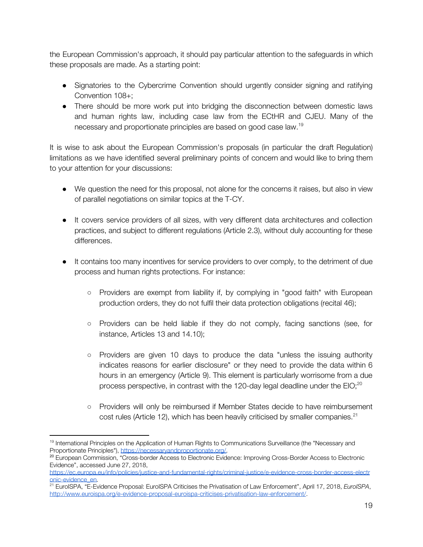the European Commission's approach, it should pay particular attention to the safeguards in which these proposals are made. As a starting point:

- Signatories to the Cybercrime Convention should urgently consider signing and ratifying Convention 108+;
- There should be more work put into bridging the disconnection between domestic laws and human rights law, including case law from the ECtHR and CJEU. Many of the necessary and proportionate principles are based on good case law. 19

It is wise to ask about the European Commission's proposals (in particular the draft Regulation) limitations as we have identified several preliminary points of concern and would like to bring them to your attention for your discussions:

- We question the need for this proposal, not alone for the concerns it raises, but also in view of parallel negotiations on similar topics at the T-CY.
- It covers service providers of all sizes, with very different data architectures and collection practices, and subject to different regulations (Article 2.3), without duly accounting for these differences.
- It contains too many incentives for service providers to over comply, to the detriment of due process and human rights protections. For instance:
	- Providers are exempt from liability if, by complying in "good faith" with European production orders, they do not fulfil their data protection obligations (recital 46);
	- Providers can be held liable if they do not comply, facing sanctions (see, for instance, Articles 13 and 14.10);
	- Providers are given 10 days to produce the data "unless the issuing authority indicates reasons for earlier disclosure" or they need to provide the data within 6 hours in an emergency (Article 9). This element is particularly worrisome from a due process perspective, in contrast with the 120-day legal deadline under the EIO;<sup>20</sup>
	- Providers will only be reimbursed if Member States decide to have reimbursement cost rules (Article 12), which has been heavily criticised by smaller companies.<sup>21</sup>

<sup>&</sup>lt;sup>19</sup> International Principles on the Application of Human Rights to Communications Surveillance (the "Necessary and Proportionate Principles"), [https://necessaryandproportionate.org/.](https://necessaryandproportionate.org/)

<sup>&</sup>lt;sup>20</sup> European Commission, "Cross-border Access to Electronic Evidence: Improving Cross-Border Access to Electronic Evidence", accessed June 27, 2018,

[https://ec.europa.eu/info/policies/justice-and-fundamental-rights/criminal-justice/e-evidence-cross-border-access-electr](https://ec.europa.eu/info/policies/justice-and-fundamental-rights/criminal-justice/e-evidence-cross-border-access-electronic-evidence_en) [onic-evidence\\_en](https://ec.europa.eu/info/policies/justice-and-fundamental-rights/criminal-justice/e-evidence-cross-border-access-electronic-evidence_en).

<sup>21</sup> EuroISPA, "E-Evidence Proposal: EuroISPA Criticises the Privatisation of Law Enforcement", April 17, 2018, *EuroISPA*, <http://www.euroispa.org/e-evidence-proposal-euroispa-criticises-privatisation-law-enforcement/>.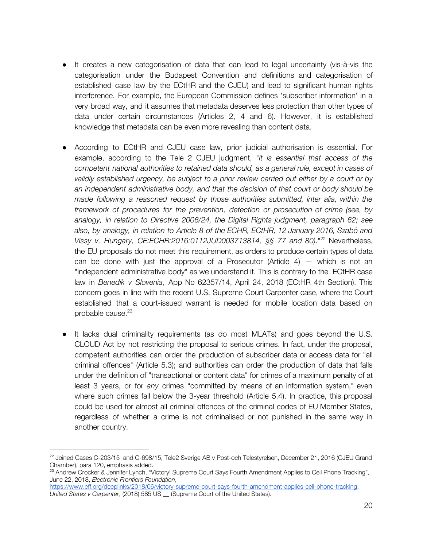- It creates a new categorisation of data that can lead to legal uncertainty (vis-à-vis the categorisation under the Budapest Convention and definitions and categorisation of established case law by the ECtHR and the CJEU) and lead to significant human rights interference. For example, the European Commission defines 'subscriber information' in a very broad way, and it assumes that metadata deserves less protection than other types of data under certain circumstances (Articles 2, 4 and 6). However, it is established knowledge that metadata can be even more revealing than content data.
- According to ECtHR and CJEU case law, prior judicial authorisation is essential. For example, according to the Tele 2 CJEU judgment, "*it is essential that access of the competent national authorities to retained data should, as a general rule, except in cases of validly established urgency, be subject to a prior review carried out either by a court or by an independent administrative body, and that the decision of that court or body should be made following a reasoned request by those authorities submitted, inter alia, within the framework of procedures for the prevention, detection or prosecution of crime (see, by analogy, in relation to Directive 2006/24, the Digital Rights judgment, paragraph 62; see also, by analogy, in relation to Article 8 of the ECHR, ECtHR, 12 January 2016, Szabó and* Vissy *v. Hungary, CE:ECHR:2016:0112JUD003713814, §§ 77 and 80).*"<sup>22</sup> Nevertheless, the EU proposals do not meet this requirement, as orders to produce certain types of data can be done with just the approval of a Prosecutor (Article 4)  $-$  which is not an "independent administrative body" as we understand it. This is contrary to the ECtHR case law in *Benedik v Slovenia*, App No 62357/14, April 24, 2018 (ECtHR 4th Section). This concern goes in line with the recent U.S. Supreme Court Carpenter case, where the Court established that a court-issued warrant is needed for mobile location data based on probable cause. 23
- It lacks dual criminality requirements (as do most MLATs) and goes beyond the U.S. CLOUD Act by not restricting the proposal to serious crimes. In fact, under the proposal, competent authorities can order the production of subscriber data or access data for "all criminal offences" (Article 5.3); and authorities can order the production of data that falls under the definition of "transactional or content data" for crimes of a maximum penalty of at least 3 years, or for *any* crimes "committed by means of an information system," even where such crimes fall below the 3-year threshold (Article 5.4). In practice, this proposal could be used for almost all criminal offences of the criminal codes of EU Member States, regardless of whether a crime is not criminalised or not punished in the same way in another country.

 $^{22}$  Joined Cases C-203/15 and C-698/15, Tele2 Sverige AB v Post-och Telestyrelsen, December 21, 2016 (CJEU Grand Chamber), para 120, emphasis added.

<sup>&</sup>lt;sup>23</sup> Andrew Crocker & Jennifer Lynch, "Victory! Supreme Court Says Fourth Amendment Applies to Cell Phone Tracking", June 22, 2018, *Electronic Frontiers Foundation*,

<https://www.eff.org/deeplinks/2018/06/victory-supreme-court-says-fourth-amendment-applies-cell-phone-tracking>; *United States v Carpenter*, (2018) 585 US \_\_ (Supreme Court of the United States).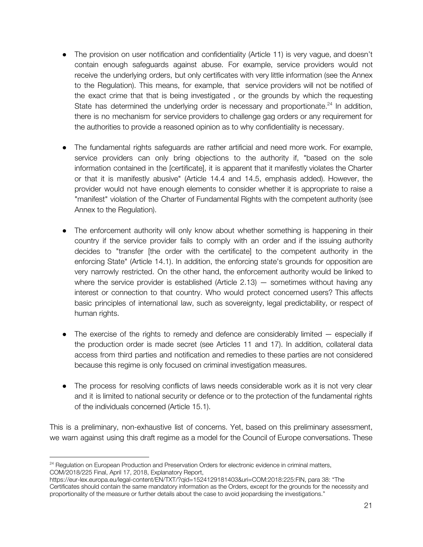- The provision on user notification and confidentiality (Article 11) is very vague, and doesn't contain enough safeguards against abuse. For example, service providers would not receive the underlying orders, but only certificates with very little information (see the Annex to the Regulation). This means, for example, that service providers will not be notified of the exact crime that that is being investigated , or the grounds by which the requesting State has determined the underlying order is necessary and proportionate.<sup>24</sup> In addition, there is no mechanism for service providers to challenge gag orders or any requirement for the authorities to provide a reasoned opinion as to why confidentiality is necessary.
- The fundamental rights safeguards are rather artificial and need more work. For example, service providers can only bring objections to the authority if, "based on the sole information contained in the [certificate], it is apparent that it manifestly violates the Charter or that it is manifestly abusive" (Article 14.4 and 14.5, emphasis added). However, the provider would not have enough elements to consider whether it is appropriate to raise a "manifest" violation of the Charter of Fundamental Rights with the competent authority (see Annex to the Regulation).
- The enforcement authority will only know about whether something is happening in their country if the service provider fails to comply with an order and if the issuing authority decides to "transfer [the order with the certificate] to the competent authority in the enforcing State" (Article 14.1). In addition, the enforcing state's grounds for opposition are very narrowly restricted. On the other hand, the enforcement authority would be linked to where the service provider is established (Article  $2.13$ )  $-$  sometimes without having any interest or connection to that country. Who would protect concerned users? This affects basic principles of international law, such as sovereignty, legal predictability, or respect of human rights.
- The exercise of the rights to remedy and defence are considerably limited especially if the production order is made secret (see Articles 11 and 17). In addition, collateral data access from third parties and notification and remedies to these parties are not considered because this regime is only focused on criminal investigation measures.
- The process for resolving conflicts of laws needs considerable work as it is not very clear and it is limited to national security or defence or to the protection of the fundamental rights of the individuals concerned (Article 15.1).

This is a preliminary, non-exhaustive list of concerns. Yet, based on this preliminary assessment, we warn against using this draft regime as a model for the Council of Europe conversations. These

<sup>&</sup>lt;sup>24</sup> Regulation on European Production and Preservation Orders for electronic evidence in criminal matters, COM/2018/225 Final, April 17, 2018, Explanatory Report,

https://eur-lex.europa.eu/legal-content/EN/TXT/?qid=1524129181403&uri=COM:2018:225:FIN, para 38: "The Certificates should contain the same mandatory information as the Orders, except for the grounds for the necessity and proportionality of the measure or further details about the case to avoid jeopardising the investigations."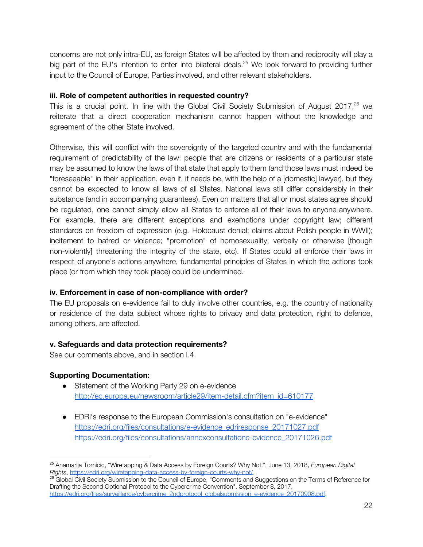concerns are not only intra-EU, as foreign States will be affected by them and reciprocity will play a big part of the EU's intention to enter into bilateral deals.<sup>25</sup> We look forward to providing further input to the Council of Europe, Parties involved, and other relevant stakeholders.

#### **iii. Role of competent authorities in requested country?**

This is a crucial point. In line with the Global Civil Society Submission of August 2017, $^{26}$  we reiterate that a direct cooperation mechanism cannot happen without the knowledge and agreement of the other State involved.

Otherwise, this will conflict with the sovereignty of the targeted country and with the fundamental requirement of predictability of the law: people that are citizens or residents of a particular state may be assumed to know the laws of that state that apply to them (and those laws must indeed be "foreseeable" in their application, even if, if needs be, with the help of a [domestic] lawyer), but they cannot be expected to know all laws of all States. National laws still differ considerably in their substance (and in accompanying guarantees). Even on matters that all or most states agree should be regulated, one cannot simply allow all States to enforce all of their laws to anyone anywhere. For example, there are different exceptions and exemptions under copyright law; different standards on freedom of expression (e.g. Holocaust denial; claims about Polish people in WWII); incitement to hatred or violence; "promotion" of homosexuality; verbally or otherwise [though non-violently] threatening the integrity of the state, etc). If States could all enforce their laws in respect of anyone's actions anywhere, fundamental principles of States in which the actions took place (or from which they took place) could be undermined.

## **iv. Enforcement in case of non-compliance with order?**

The EU proposals on e-evidence fail to duly involve other countries, e.g. the country of nationality or residence of the data subject whose rights to privacy and data protection, right to defence, among others, are affected.

## **v. Safeguards and data protection requirements?**

See our comments above, and in section I.4.

## **Supporting Documentation:**

- Statement of the Working Party 29 on e-evidence [http://ec.europa.eu/newsroom/article29/item-detail.cfm?item\\_id=610177](http://ec.europa.eu/newsroom/article29/item-detail.cfm?item_id=610177)
- EDRi's response to the European Commission's consultation on "e-evidence" [https://edri.org/files/consultations/e-evidence\\_edriresponse\\_20171027.pdf](https://edri.org/files/consultations/e-evidence_edriresponse_20171027.pdf) [https://edri.org/files/consultations/annexconsultatione-evidence\\_20171026.pdf](https://edri.org/files/consultations/annexconsultatione-evidence_20171026.pdf)

<sup>25</sup> Anamarija Tomicic, "Wiretapping & Data Access by Foreign Courts? Why Not!", June 13, 2018, *European Digital Rights*,<https://edri.org/wiretapping-data-access-by-foreign-courts-why-not/>.

<sup>26</sup> Global Civil Society Submission to the Council of Europe, "Comments and Suggestions on the Terms of Reference for Drafting the Second Optional Protocol to the Cybercrime Convention", September 8, 2017, [https://edri.org/files/surveillance/cybercrime\\_2ndprotocol\\_globalsubmission\\_e-evidence\\_20170908.pdf](https://edri.org/files/surveillance/cybercrime_2ndprotocol_globalsubmission_e-evidence_20170908.pdf).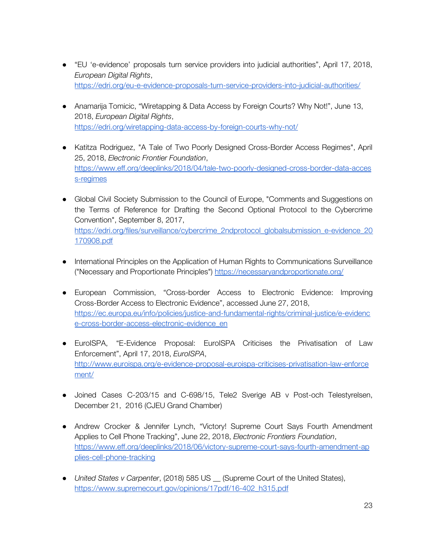- "EU 'e-evidence' proposals turn service providers into judicial authorities", April 17, 2018, *European Digital Rights*, <https://edri.org/eu-e-evidence-proposals-turn-service-providers-into-judicial-authorities/>
- Anamarija Tomicic, "Wiretapping & Data Access by Foreign Courts? Why Not!", June 13, 2018, *European Digital Rights*, <https://edri.org/wiretapping-data-access-by-foreign-courts-why-not/>
- Katitza Rodriguez, "A Tale of Two Poorly Designed Cross-Border Access Regimes", April 25, 2018, *Electronic Frontier Foundation*, [https://www.eff.org/deeplinks/2018/04/tale-two-poorly-designed-cross-border-data-acces](https://www.eff.org/deeplinks/2018/04/tale-two-poorly-designed-cross-border-data-access-regimes) [s-regimes](https://www.eff.org/deeplinks/2018/04/tale-two-poorly-designed-cross-border-data-access-regimes)
- Global Civil Society Submission to the Council of Europe, "Comments and Suggestions on the Terms of Reference for Drafting the Second Optional Protocol to the Cybercrime Convention", September 8, 2017, [https://edri.org/files/surveillance/cybercrime\\_2ndprotocol\\_globalsubmission\\_e-evidence\\_20](https://edri.org/files/surveillance/cybercrime_2ndprotocol_globalsubmission_e-evidence_20170908.pdf) [170908.pdf](https://edri.org/files/surveillance/cybercrime_2ndprotocol_globalsubmission_e-evidence_20170908.pdf)
- International Principles on the Application of Human Rights to Communications Surveillance ("Necessary and Proportionate Principles") <https://necessaryandproportionate.org/>
- European Commission, "Cross-border Access to Electronic Evidence: Improving Cross-Border Access to Electronic Evidence", accessed June 27, 2018[,](https://ec.europa.eu/info/policies/justice-and-fundamental-rights/criminal-justice/e-evidence-cross-border-access-electronic-evidence_en) [https://ec.europa.eu/info/policies/justice-and-fundamental-rights/criminal-justice/e-evidenc](https://ec.europa.eu/info/policies/justice-and-fundamental-rights/criminal-justice/e-evidence-cross-border-access-electronic-evidence_en) [e-cross-border-access-electronic-evidence\\_en](https://ec.europa.eu/info/policies/justice-and-fundamental-rights/criminal-justice/e-evidence-cross-border-access-electronic-evidence_en)
- EuroISPA, "E-Evidence Proposal: EuroISPA Criticises the Privatisation of Law Enforcement", April 17, 2018, *EuroISPA*[,](http://www.euroispa.org/e-evidence-proposal-euroispa-criticises-privatisation-law-enforcement/) [http://www.euroispa.org/e-evidence-proposal-euroispa-criticises-privatisation-law-enforce](http://www.euroispa.org/e-evidence-proposal-euroispa-criticises-privatisation-law-enforcement/) [ment/](http://www.euroispa.org/e-evidence-proposal-euroispa-criticises-privatisation-law-enforcement/)
- Joined Cases C-203/15 and C-698/15, Tele2 Sverige AB v Post-och Telestyrelsen, December 21, 2016 (CJEU Grand Chamber)
- Andrew Crocker & Jennifer Lynch, "Victory! Supreme Court Says Fourth Amendment Applies to Cell Phone Tracking", June 22, 2018, *Electronic Frontiers Foundation*, [https://www.eff.org/deeplinks/2018/06/victory-supreme-court-says-fourth-amendment-ap](https://www.eff.org/deeplinks/2018/06/victory-supreme-court-says-fourth-amendment-applies-cell-phone-tracking) [plies-cell-phone-tracking](https://www.eff.org/deeplinks/2018/06/victory-supreme-court-says-fourth-amendment-applies-cell-phone-tracking)
- *United States v Carpenter*, (2018) 585 US \_\_ (Supreme Court of the United States)[,](https://www.supremecourt.gov/opinions/17pdf/16-402_h315.pdf) [https://www.supremecourt.gov/opinions/17pdf/16-402\\_h315.pdf](https://www.supremecourt.gov/opinions/17pdf/16-402_h315.pdf)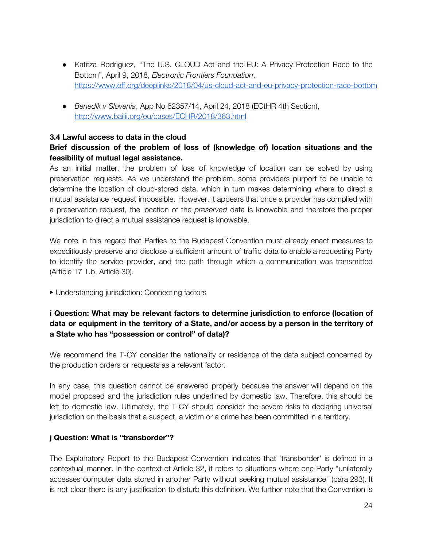- Katitza Rodriguez, "The U.S. CLOUD Act and the EU: A Privacy Protection Race to the Bottom", April 9, 2018, *Electronic Frontiers Foundation*, <https://www.eff.org/deeplinks/2018/04/us-cloud-act-and-eu-privacy-protection-race-bottom>
- *Benedik v Slovenia*, App No 62357/14, April 24, 2018 (ECtHR 4th Section), <http://www.bailii.org/eu/cases/ECHR/2018/363.html>

#### **3.4 Lawful access to data in the cloud**

## **Brief discussion of the problem of loss of (knowledge of) location situations and the feasibility of mutual legal assistance.**

As an initial matter, the problem of loss of knowledge of location can be solved by using preservation requests. As we understand the problem, some providers purport to be unable to determine the location of cloud-stored data, which in turn makes determining where to direct a mutual assistance request impossible. However, it appears that once a provider has complied with a preservation request, the location of the *preserved* data is knowable and therefore the proper jurisdiction to direct a mutual assistance request is knowable.

We note in this regard that Parties to the Budapest Convention must already enact measures to expeditiously preserve and disclose a sufficient amount of traffic data to enable a requesting Party to identify the service provider, and the path through which a communication was transmitted (Article 17 1.b, Article 30).

▶ Understanding jurisdiction: Connecting factors

# **i Question: What may be relevant factors to determine jurisdiction to enforce (location of data or equipment in the territory of a State, and/or access by a person in the territory of a State who has "possession or control" of data)?**

We recommend the T-CY consider the nationality or residence of the data subject concerned by the production orders or requests as a relevant factor.

In any case, this question cannot be answered properly because the answer will depend on the model proposed and the jurisdiction rules underlined by domestic law. Therefore, this should be left to domestic law. Ultimately, the T-CY should consider the severe risks to declaring universal jurisdiction on the basis that a suspect, a victim or a crime has been committed in a territory.

#### **j Question: What is "transborder"?**

The Explanatory Report to the Budapest Convention indicates that 'transborder' is defined in a contextual manner. In the context of Article 32, it refers to situations where one Party "unilaterally accesses computer data stored in another Party without seeking mutual assistance" (para 293). It is not clear there is any justification to disturb this definition. We further note that the Convention is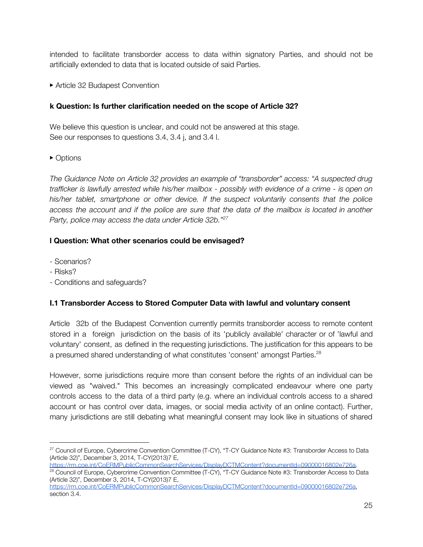intended to facilitate transborder access to data within signatory Parties, and should not be artificially extended to data that is located outside of said Parties.

▶ Article 32 Budapest Convention

## **k Question: Is further clarification needed on the scope of Article 32?**

We believe this question is unclear, and could not be answered at this stage. See our responses to questions 3.4, 3.4 j, and 3.4 l.

▶ Options

*The Guidance Note on Article 32 provides an example of "transborder" access: "A suspected drug* trafficker is lawfully arrested while his/her mailbox - possibly with evidence of a crime - is open on *his/her tablet, smartphone or other device. If the suspect voluntarily consents that the police* access the account and if the police are sure that the data of the mailbox is located in another *Party, police may access the data under Article 32b." 27*

## **l Question: What other scenarios could be envisaged?**

- Scenarios?
- Risks?
- Conditions and safeguards?

## **I.1 Transborder Access to Stored Computer Data with lawful and voluntary consent**

Article 32b of the Budapest Convention currently permits transborder access to remote content stored in a foreign jurisdiction on the basis of its 'publicly available' character or of 'lawful and voluntary' consent, as defined in the requesting jurisdictions. The justification for this appears to be a presumed shared understanding of what constitutes 'consent' amongst Parties.<sup>28</sup>

However, some jurisdictions require more than consent before the rights of an individual can be viewed as "waived." This becomes an increasingly complicated endeavour where one party controls access to the data of a third party (e.g. where an individual controls access to a shared account or has control over data, images, or social media activity of an online contact). Further, many jurisdictions are still debating what meaningful consent may look like in situations of shared

<sup>&</sup>lt;sup>27</sup> Council of Europe, Cybercrime Convention Committee (T-CY), "T-CY Guidance Note #3: Transborder Access to Data (Article 32)", December 3, 2014, T-CY(2013)7 E,

<https://rm.coe.int/CoERMPublicCommonSearchServices/DisplayDCTMContent?documentId=09000016802e726a>.

<sup>&</sup>lt;sup>28</sup> Council of Europe, Cybercrime Convention Committee (T-CY), "T-CY Guidance Note #3: Transborder Access to Data (Article 32)", December 3, 2014, T-CY(2013)7 E,

<https://rm.coe.int/CoERMPublicCommonSearchServices/DisplayDCTMContent?documentId=09000016802e726a>, section 3.4.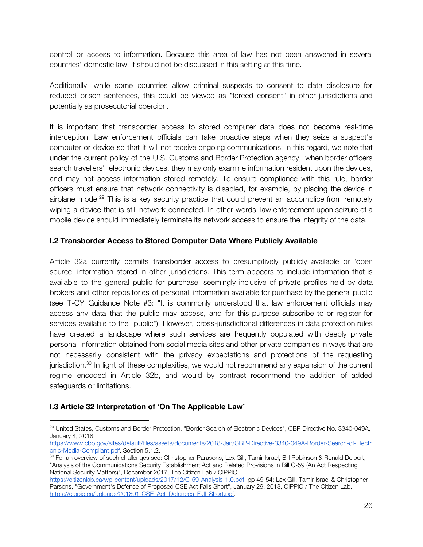control or access to information. Because this area of law has not been answered in several countries' domestic law, it should not be discussed in this setting at this time.

Additionally, while some countries allow criminal suspects to consent to data disclosure for reduced prison sentences, this could be viewed as "forced consent" in other jurisdictions and potentially as prosecutorial coercion.

It is important that transborder access to stored computer data does not become real-time interception. Law enforcement officials can take proactive steps when they seize a suspect's computer or device so that it will not receive ongoing communications. In this regard, we note that under the current policy of the U.S. Customs and Border Protection agency, when border officers search travellers' electronic devices, they may only examine information resident upon the devices, and may not access information stored remotely. To ensure compliance with this rule, border officers must ensure that network connectivity is disabled, for example, by placing the device in airplane mode.<sup>29</sup> This is a key security practice that could prevent an accomplice from remotely wiping a device that is still network-connected. In other words, law enforcement upon seizure of a mobile device should immediately terminate its network access to ensure the integrity of the data.

## **I.2 Transborder Access to Stored Computer Data Where Publicly Available**

Article 32a currently permits transborder access to presumptively publicly available or 'open source' information stored in other jurisdictions. This term appears to include information that is available to the general public for purchase, seemingly inclusive of private profiles held by data brokers and other repositories of personal information available for purchase by the general public (see T-CY Guidance Note #3: "It is commonly understood that law enforcement officials may access any data that the public may access, and for this purpose subscribe to or register for services available to the public"). However, cross-jurisdictional differences in data protection rules have created a landscape where such services are frequently populated with deeply private personal information obtained from social media sites and other private companies in ways that are not necessarily consistent with the privacy expectations and protections of the requesting jurisdiction.<sup>30</sup> In light of these complexities, we would not recommend any expansion of the current regime encoded in Article 32b, and would by contrast recommend the addition of added safeguards or limitations.

#### **I.3 Article 32 Interpretation of 'On The Applicable Law'**

<sup>&</sup>lt;sup>29</sup> United States, Customs and Border Protection, "Border Search of Electronic Devices", CBP Directive No. 3340-049A, January 4, 2018,

[https://www.cbp.gov/sites/default/files/assets/documents/2018-Jan/CBP-Directive-3340-049A-Border-Search-of-Electr](https://www.cbp.gov/sites/default/files/assets/documents/2018-Jan/CBP-Directive-3340-049A-Border-Search-of-Electronic-Media-Compliant.pdf) [onic-Media-Compliant.pdf](https://www.cbp.gov/sites/default/files/assets/documents/2018-Jan/CBP-Directive-3340-049A-Border-Search-of-Electronic-Media-Compliant.pdf), Section 5.1.2.

 $\rm{^{30}}$  For an overview of such challenges see: Christopher Parasons, Lex Gill, Tamir Israel, Bill Robinson & Ronald Deibert, "Analysis of the Communications Security Establishment Act and Related Provisions in Bill C-59 (An Act Respecting National Security Matters)", December 2017, The Citizen Lab / CIPPIC,

<https://citizenlab.ca/wp-content/uploads/2017/12/C-59-Analysis-1.0.pdf>, pp 49-54; Lex Gill, Tamir Israel & Christopher Parsons, "Government's Defence of Proposed CSE Act Falls Short", January 29, 2018, CIPPIC / The Citizen Lab, [https://cippic.ca/uploads/201801-CSE\\_Act\\_Defences\\_Fall\\_Short.pdf.](https://cippic.ca/uploads/201801-CSE_Act_Defences_Fall_Short.pdf)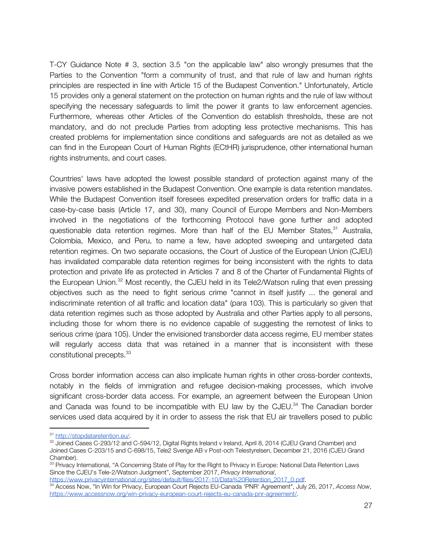T-CY Guidance Note # 3, section 3.5 "on the applicable law" also wrongly presumes that the Parties to the Convention "form a community of trust, and that rule of law and human rights principles are respected in line with Article 15 of the Budapest Convention." Unfortunately, Article 15 provides only a general statement on the protection on human rights and the rule of law without specifying the necessary safeguards to limit the power it grants to law enforcement agencies. Furthermore, whereas other Articles of the Convention do establish thresholds, these are not mandatory, and do not preclude Parties from adopting less protective mechanisms. This has created problems for implementation since conditions and safeguards are not as detailed as we can find in the European Court of Human Rights (ECtHR) jurisprudence, other international human rights instruments, and court cases.

Countries' laws have adopted the lowest possible standard of protection against many of the invasive powers established in the Budapest Convention. One example is data retention mandates. While the Budapest Convention itself foresees expedited preservation orders for traffic data in a case-by-case basis (Article 17, and 30), many Council of Europe Members and Non-Members involved in the negotiations of the forthcoming Protocol have gone further and adopted questionable data retention regimes. More than half of the EU Member States, $31$  Australia, Colombia, Mexico, and Peru, to name a few, have adopted sweeping and untargeted data retention regimes. On two separate occasions, the Court of Justice of the European Union (CJEU) has invalidated comparable data retention regimes for being inconsistent with the rights to data protection and private life as protected in Articles 7 and 8 of the Charter of Fundamental Rights of the European Union. $^{32}$  Most recently, the CJEU held in its Tele2/Watson ruling that even pressing objectives such as the need to fight serious crime "cannot in itself justify ... the general and indiscriminate retention of all traffic and location data" (para 103). This is particularly so given that data retention regimes such as those adopted by Australia and other Parties apply to all persons, including those for whom there is no evidence capable of suggesting the remotest of links to serious crime (para 105). Under the envisioned transborder data access regime, EU member states will regularly access data that was retained in a manner that is inconsistent with these constitutional precepts. 33

Cross border information access can also implicate human rights in other cross-border contexts, notably in the fields of immigration and refugee decision-making processes, which involve significant cross-border data access. For example, an agreement between the European Union and Canada was found to be incompatible with EU law by the CJEU. $^{34}$  The Canadian border services used data acquired by it in order to assess the risk that EU air travellers posed to public

<sup>31</sup> [http://stopdataretention.eu/.](http://stopdataretention.eu/)

 $^{32}$  Joined Cases C-293/12 and C-594/12, Digital Rights Ireland v Ireland, April 8, 2014 (CJEU Grand Chamber) and Joined Cases C-203/15 and C-698/15, Tele2 Sverige AB v Post-och Telestyrelsen, December 21, 2016 (CJEU Grand Chamber).

 $33$  Privacy International, "A Concerning State of Play for the Right to Privacy in Europe: National Data Retention Laws Since the CJEU's Tele-2/Watson Judgment", September 2017, *Privacy International*, [https://www.privacyinternational.org/sites/default/files/2017-10/Data%20Retention\\_2017\\_0.pdf](https://www.privacyinternational.org/sites/default/files/2017-10/Data%20Retention_2017_0.pdf).

<sup>34</sup> Access Now, "In Win for Privacy, European Court Rejects EU-Canada 'PNR' Agreement", July 26, 2017, *Access Now*, [https://www.accessnow.org/win-privacy-european-court-rejects-eu-canada-pnr-agreement/.](https://www.accessnow.org/win-privacy-european-court-rejects-eu-canada-pnr-agreement/)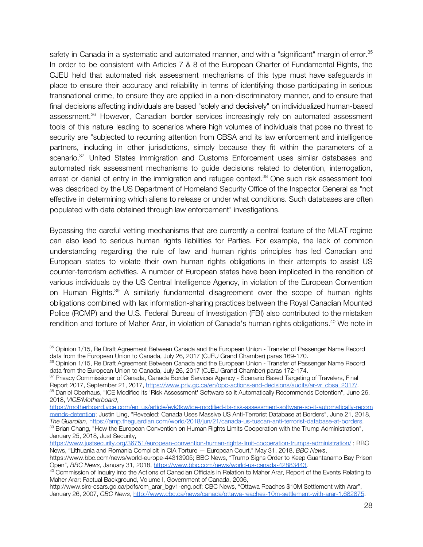safety in Canada in a systematic and automated manner, and with a "significant" margin of error.<sup>35</sup> In order to be consistent with Articles 7 & 8 of the European Charter of Fundamental Rights, the CJEU held that automated risk assessment mechanisms of this type must have safeguards in place to ensure their accuracy and reliability in terms of identifying those participating in serious transnational crime, to ensure they are applied in a non-discriminatory manner, and to ensure that final decisions affecting individuals are based "solely and decisively" on individualized human-based assessment.<sup>36</sup> However, Canadian border services increasingly rely on automated assessment tools of this nature leading to scenarios where high volumes of individuals that pose no threat to security are "subjected to recurring attention from CBSA and its law enforcement and intelligence partners, including in other jurisdictions, simply because they fit within the parameters of a scenario.<sup>37</sup> United States Immigration and Customs Enforcement uses similar databases and automated risk assessment mechanisms to guide decisions related to detention, interrogation, arrest or denial of entry in the immigration and refugee context.<sup>38</sup> One such risk assessment tool was described by the US Department of Homeland Security Office of the Inspector General as "not effective in determining which aliens to release or under what conditions. Such databases are often populated with data obtained through law enforcement" investigations.

Bypassing the careful vetting mechanisms that are currently a central feature of the MLAT regime can also lead to serious human rights liabilities for Parties. For example, the lack of common understanding regarding the rule of law and human rights principles has led Canadian and European states to violate their own human rights obligations in their attempts to assist US counter-terrorism activities. A number of European states have been implicated in the rendition of various individuals by the US Central Intelligence Agency, in violation of the European Convention on Human Rights.<sup>39</sup> A similarly fundamental disagreement over the scope of human rights obligations combined with lax information-sharing practices between the Royal Canadian Mounted Police (RCMP) and the U.S. Federal Bureau of Investigation (FBI) also contributed to the mistaken rendition and torture of Maher Arar, in violation of Canada's human rights obligations.<sup>40</sup> We note in

<sup>&</sup>lt;sup>35</sup> Opinion 1/15, Re Draft Agreement Between Canada and the European Union - Transfer of Passenger Name Record data from the European Union to Canada, July 26, 2017 (CJEU Grand Chamber) paras 169-170.

<sup>&</sup>lt;sup>36</sup> Opinion 1/15, Re Draft Agreement Between Canada and the European Union - Transfer of Passenger Name Record data from the European Union to Canada, July 26, 2017 (CJEU Grand Chamber) paras 172-174.

 $^{37}$  Privacy Commissioner of Canada, Canada Border Services Agency - Scenario Based Targeting of Travelers, Final Report 2017, September 21, 2017, [https://www.priv.gc.ca/en/opc-actions-and-decisions/audits/ar-vr\\_cbsa\\_2017/.](https://www.priv.gc.ca/en/opc-actions-and-decisions/audits/ar-vr_cbsa_2017/) <sup>38</sup> Daniel Oberhaus, "ICE Modified its 'Risk Assessment' Software so it Automatically Recommends Detention", June 26, 2018, *VICE/Motherboard*,

[https://motherboard.vice.com/en\\_us/article/evk3kw/ice-modified-its-risk-assessment-software-so-it-automatically-recom](https://motherboard.vice.com/en_us/article/evk3kw/ice-modified-its-risk-assessment-software-so-it-automatically-recommends-detention) [mends-detention](https://motherboard.vice.com/en_us/article/evk3kw/ice-modified-its-risk-assessment-software-so-it-automatically-recommends-detention); Justin Ling, "Revealed: Canada Uses Massive US Anti-Terrorist Database at Borders", June 21, 2018, *The Guardian*,<https://amp.theguardian.com/world/2018/jun/21/canada-us-tuscan-anti-terrorist-database-at-borders>.

<sup>&</sup>lt;sup>39</sup> Brian Chang, "How the European Convention on Human Rights Limits Cooperation with the Trump Administration", January 25, 2018, Just Security,

[https://www.justsecurity.org/36751/european-convention-human-rights-limit-cooperation-trumps-administration/](https://www.justsecurity.org/36751/european-convention-human-rights-limit-cooperation-trumps-administration) ; BBC News, "Lithuania and Romania Complicit in CIA Torture — European Court," May 31, 2018, *BBC News*,

https://www.bbc.com/news/world-europe-44313905; BBC News, "Trump Signs Order to Keep Guantanamo Bay Prison Open", *BBC News*, January 31, 2018, [https://www.bbc.com/news/world-us-canada-42883443.](https://www.bbc.com/news/world-us-canada-42883443)

<sup>&</sup>lt;sup>40</sup> Commission of Inquiry into the Actions of Canadian Officials in Relation to Maher Arar, Report of the Events Relating to Maher Arar: Factual Background, Volume I, Government of Canada, 2006,

http://www.sirc-csars.gc.ca/pdfs/cm\_arar\_bgv1-eng.pdf; CBC News, "Ottawa Reaches \$10M Settlement with Arar", January 26, 2007, *CBC News*, <http://www.cbc.ca/news/canada/ottawa-reaches-10m-settlement-with-arar-1.682875>.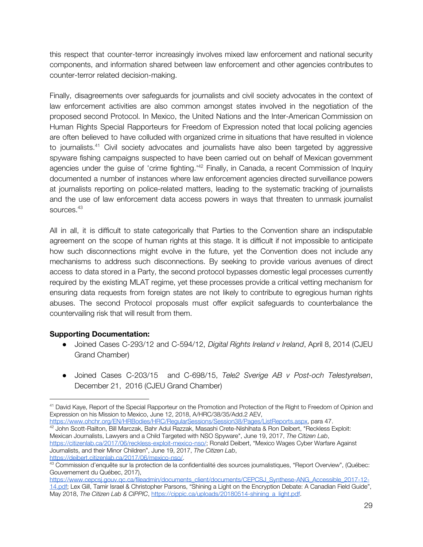this respect that counter-terror increasingly involves mixed law enforcement and national security components, and information shared between law enforcement and other agencies contributes to counter-terror related decision-making.

Finally, disagreements over safeguards for journalists and civil society advocates in the context of law enforcement activities are also common amongst states involved in the negotiation of the proposed second Protocol. In Mexico, the United Nations and the Inter-American Commission on Human Rights Special Rapporteurs for Freedom of Expression noted that local policing agencies are often believed to have colluded with organized crime in situations that have resulted in violence to journalists.<sup>41</sup> Civil society advocates and journalists have also been targeted by aggressive spyware fishing campaigns suspected to have been carried out on behalf of Mexican government agencies under the guise of 'crime fighting.<sup>142</sup> Finally, in Canada, a recent Commission of Inquiry documented a number of instances where law enforcement agencies directed surveillance powers at journalists reporting on police-related matters, leading to the systematic tracking of journalists and the use of law enforcement data access powers in ways that threaten to unmask journalist sources. 43

All in all, it is difficult to state categorically that Parties to the Convention share an indisputable agreement on the scope of human rights at this stage. It is difficult if not impossible to anticipate how such disconnections might evolve in the future, yet the Convention does not include any mechanisms to address such disconnections. By seeking to provide various avenues of direct access to data stored in a Party, the second protocol bypasses domestic legal processes currently required by the existing MLAT regime, yet these processes provide a critical vetting mechanism for ensuring data requests from foreign states are not likely to contribute to egregious human rights abuses. The second Protocol proposals must offer explicit safeguards to counterbalance the countervailing risk that will result from them.

## **Supporting Documentation:**

- Joined Cases C-293/12 and C-594/12, *Digital Rights Ireland v Ireland*, April 8, 2014 (CJEU Grand Chamber)
- Joined Cases C-203/15 and C-698/15, *Tele2 Sverige AB v Post-och Telestyrelsen*, December 21, 2016 (CJEU Grand Chamber)

[https://www.ohchr.org/EN/HRBodies/HRC/RegularSessions/Session38/Pages/ListReports.aspx,](https://www.ohchr.org/EN/HRBodies/HRC/RegularSessions/Session38/Pages/ListReports.aspx) para 47. <sup>42</sup> John Scott-Railton, Bill Marczak, Bahr Adul Razzak, Masashi Crete-Nishihata & Ron Deibert, "Reckless Exploit: Mexican Journalists, Lawyers and a Child Targeted with NSO Spyware", June 19, 2017, *The Citizen Lab*, <https://citizenlab.ca/2017/06/reckless-exploit-mexico-nso/>; Ronald Deibert, "Mexico Wages Cyber Warfare Against Journalists, and their Minor Children", June 19, 2017, *The Citizen Lab*, [https://deibert.citizenlab.ca/2017/06/mexico-nso/.](https://deibert.citizenlab.ca/2017/06/mexico-nso/)

<sup>&</sup>lt;sup>41</sup> David Kaye, Report of the Special Rapporteur on the Promotion and Protection of the Right to Freedom of Opinion and Expression on his Mission to Mexico, June 12, 2018, A/HRC/38/35/Add.2 AEV,

<sup>&</sup>lt;sup>43</sup> Commission d'enquête sur la protection de la confidentialité des sources journalistiques, "Report Overview", (Québec: Gouvernement du Québec, 2017),

https://www.cepcsj.gouv.gc.ca/fileadmin/documents\_client/documents/CEPCSJ\_Synthese-ANG\_Accessible\_2017-12-[14.pdf;](https://www.cepcsj.gouv.qc.ca/fileadmin/documents_client/documents/CEPCSJ_Synthese-ANG_Accessible_2017-12-14.pdf) Lex Gill, Tamir Israel & Christopher Parsons, "Shining a Light on the Encryption Debate: A Canadian Field Guide", May 2018, *The Citizen Lab & CIPPIC*, [https://cippic.ca/uploads/20180514-shining\\_a\\_light.pdf](https://cippic.ca/uploads/20180514-shining_a_light.pdf).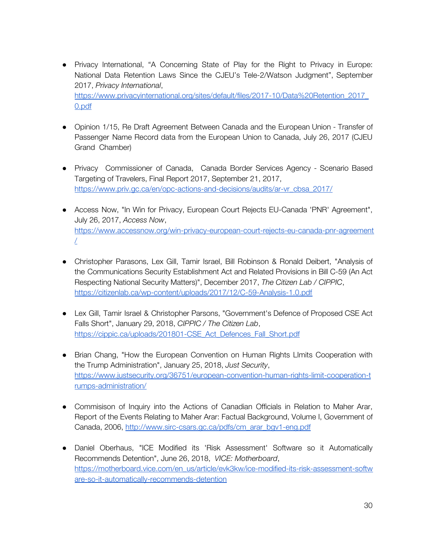- Privacy International, "A Concerning State of Play for the Right to Privacy in Europe: National Data Retention Laws Since the CJEU's Tele-2/Watson Judgment", September 2017, *Privacy International*, [https://www.privacyinternational.org/sites/default/files/2017-10/Data%20Retention\\_2017\\_](https://www.privacyinternational.org/sites/default/files/2017-10/Data%20Retention_2017_0.pdf) [0.pdf](https://www.privacyinternational.org/sites/default/files/2017-10/Data%20Retention_2017_0.pdf)
- Opinion 1/15, Re Draft Agreement Between Canada and the European Union Transfer of Passenger Name Record data from the European Union to Canada, July 26, 2017 (CJEU Grand Chamber)
- Privacy Commissioner of Canada, Canada Border Services Agency Scenario Based Targeting of Travelers, Final Report 2017, September 21, 2017, [https://www.priv.gc.ca/en/opc-actions-and-decisions/audits/ar-vr\\_cbsa\\_2017/](https://www.priv.gc.ca/en/opc-actions-and-decisions/audits/ar-vr_cbsa_2017/)
- Access Now, "In Win for Privacy, European Court Rejects EU-Canada 'PNR' Agreement", July 26, 2017, *Access Now*, [https://www.accessnow.org/win-privacy-european-court-rejects-eu-canada-pnr-agreement](https://www.accessnow.org/win-privacy-european-court-rejects-eu-canada-pnr-agreement/) [/](https://www.accessnow.org/win-privacy-european-court-rejects-eu-canada-pnr-agreement/)
- Christopher Parasons, Lex Gill, Tamir Israel, Bill Robinson & Ronald Deibert, "Analysis of the Communications Security Establishment Act and Related Provisions in Bill C-59 (An Act Respecting National Security Matters)", December 2017, *The Citizen Lab / CIPPIC*, <https://citizenlab.ca/wp-content/uploads/2017/12/C-59-Analysis-1.0.pdf>
- Lex Gill, Tamir Israel & Christopher Parsons, "Government's Defence of Proposed CSE Act Falls Short", January 29, 2018, *CIPPIC / The Citizen Lab*, [https://cippic.ca/uploads/201801-CSE\\_Act\\_Defences\\_Fall\\_Short.pdf](https://cippic.ca/uploads/201801-CSE_Act_Defences_Fall_Short.pdf)
- Brian Chang, "How the European Convention on Human Rights LImits Cooperation with the Trump Administration", January 25, 2018, *Just Security*, [https://www.justsecurity.org/36751/european-convention-human-rights-limit-cooperation-t](https://www.justsecurity.org/36751/european-convention-human-rights-limit-cooperation-trumps-administration/) [rumps-administration/](https://www.justsecurity.org/36751/european-convention-human-rights-limit-cooperation-trumps-administration/)
- Commisison of Inquiry into the Actions of Canadian Officials in Relation to Maher Arar, Report of the Events Relating to Maher Arar: Factual Background, Volume I, Government of Canada, 2006, [http://www.sirc-csars.gc.ca/pdfs/cm\\_arar\\_bgv1-eng.pdf](http://www.sirc-csars.gc.ca/pdfs/cm_arar_bgv1-eng.pdf)
- Daniel Oberhaus, "ICE Modified its 'Risk Assessment' Software so it Automatically Recommends Detention", June 26, 2018, *VICE: Motherboard*, [https://motherboard.vice.com/en\\_us/article/evk3kw/ice-modified-its-risk-assessment-softw](https://motherboard.vice.com/en_us/article/evk3kw/ice-modified-its-risk-assessment-software-so-it-automatically-recommends-detention) [are-so-it-automatically-recommends-detention](https://motherboard.vice.com/en_us/article/evk3kw/ice-modified-its-risk-assessment-software-so-it-automatically-recommends-detention)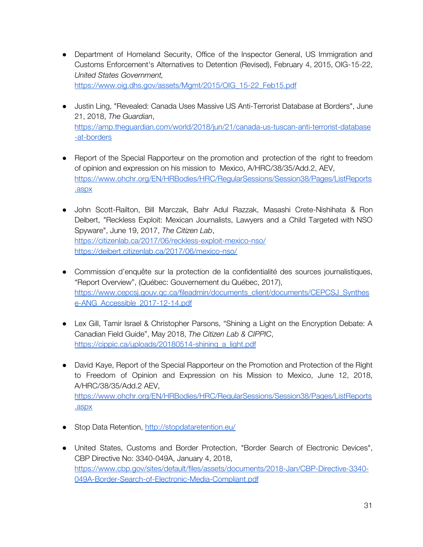- Department of Homeland Security, Office of the Inspector General, US Immigration and Customs Enforcement's Alternatives to Detention (Revised), February 4, 2015, OIG-15-22, *United States Government,* [https://www.oig.dhs.gov/assets/Mgmt/2015/OIG\\_15-22\\_Feb15.pdf](https://www.oig.dhs.gov/assets/Mgmt/2015/OIG_15-22_Feb15.pdf)
- Justin Ling, "Revealed: Canada Uses Massive US Anti-Terrorist Database at Borders", June 21, 2018, *The Guardian*, [https://amp.theguardian.com/world/2018/jun/21/canada-us-tuscan-anti-terrorist-database](https://amp.theguardian.com/world/2018/jun/21/canada-us-tuscan-anti-terrorist-database-at-borders) [-at-borders](https://amp.theguardian.com/world/2018/jun/21/canada-us-tuscan-anti-terrorist-database-at-borders)
- Report of the Special Rapporteur on the promotion and protection of the right to freedom of opinion and expression on his mission to Mexico, A/HRC/38/35/Add.2, AEV, [https://www.ohchr.org/EN/HRBodies/HRC/RegularSessions/Session38/Pages/ListReports](https://www.ohchr.org/EN/HRBodies/HRC/RegularSessions/Session38/Pages/ListReports.aspx) [.aspx](https://www.ohchr.org/EN/HRBodies/HRC/RegularSessions/Session38/Pages/ListReports.aspx)
- John Scott-Railton, Bill Marczak, Bahr Adul Razzak, Masashi Crete-Nishihata & Ron Deibert, "Reckless Exploit: Mexican Journalists, Lawyers and a Child Targeted with NSO Spyware", June 19, 2017, *The Citizen Lab*, <https://citizenlab.ca/2017/06/reckless-exploit-mexico-nso/> <https://deibert.citizenlab.ca/2017/06/mexico-nso/>
- Commission d'enquête sur la protection de la confidentialité des sources journalistiques, "Report Overview", (Québec: Gouvernement du Québec, 2017), https://www.cepcsj.gouv.gc.ca/fileadmin/documents\_client/documents/CEPCSJ\_Synthes e-ANG Accessible 2017-12-14.pdf
- Lex Gill, Tamir Israel & Christopher Parsons, "Shining a Light on the Encryption Debate: A Canadian Field Guide", May 2018, *The Citizen Lab & CIPPIC*, [https://cippic.ca/uploads/20180514-shining\\_a\\_light.pdf](https://cippic.ca/uploads/20180514-shining_a_light.pdf)
- David Kaye, Report of the Special Rapporteur on the Promotion and Protection of the Right to Freedom of Opinion and Expression on his Mission to Mexico, June 12, 2018, A/HRC/38/35/Add.2 AEV, [https://www.ohchr.org/EN/HRBodies/HRC/RegularSessions/Session38/Pages/ListReports](https://www.ohchr.org/EN/HRBodies/HRC/RegularSessions/Session38/Pages/ListReports.aspx) [.aspx](https://www.ohchr.org/EN/HRBodies/HRC/RegularSessions/Session38/Pages/ListReports.aspx)
- Stop Data Retention[,](http://stopdataretention.eu/) <http://stopdataretention.eu/>
- United States, Customs and Border Protection, "Border Search of Electronic Devices", CBP Directive No: 3340-049A, January 4, 2018, [https://www.cbp.gov/sites/default/files/assets/documents/2018-Jan/CBP-Directive-3340-](https://www.cbp.gov/sites/default/files/assets/documents/2018-Jan/CBP-Directive-3340-049A-Border-Search-of-Electronic-Media-Compliant.pdf) [049A-Border-Search-of-Electronic-Media-Compliant.pdf](https://www.cbp.gov/sites/default/files/assets/documents/2018-Jan/CBP-Directive-3340-049A-Border-Search-of-Electronic-Media-Compliant.pdf)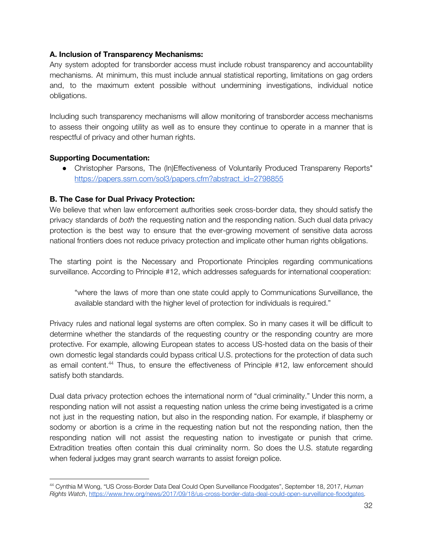#### **A. Inclusion of Transparency Mechanisms:**

Any system adopted for transborder access must include robust transparency and accountability mechanisms. At minimum, this must include annual statistical reporting, limitations on gag orders and, to the maximum extent possible without undermining investigations, individual notice obligations.

Including such transparency mechanisms will allow monitoring of transborder access mechanisms to assess their ongoing utility as well as to ensure they continue to operate in a manner that is respectful of privacy and other human rights.

#### **Supporting Documentation:**

● Christopher Parsons, The (In)Effectiveness of Voluntarily Produced Transpareny Reports" [https://papers.ssrn.com/sol3/papers.cfm?abstract\\_id=2798855](https://papers.ssrn.com/sol3/papers.cfm?abstract_id=2798855)

## **B. The Case for Dual Privacy Protection:**

We believe that when law enforcement authorities seek cross-border data, they should satisfy the privacy standards of *both* the requesting nation and the responding nation. Such dual data privacy protection is the best way to ensure that the ever-growing movement of sensitive data across national frontiers does not reduce privacy protection and implicate other human rights obligations.

The starting point is the Necessary and Proportionate Principles regarding communications surveillance. According to Principle #12, which addresses safeguards for international cooperation:

"where the laws of more than one state could apply to Communications Surveillance, the available standard with the higher level of protection for individuals is required."

Privacy rules and national legal systems are often complex. So in many cases it will be difficult to determine whether the standards of the requesting country or the responding country are more protective. For example, allowing European states to access US-hosted data on the basis of their own domestic legal standards could bypass critical U.S. protections for the protection of data such as email content.<sup>44</sup> Thus, to ensure the effectiveness of Principle #12, law enforcement should satisfy both standards.

Dual data privacy protection echoes the international norm of "dual criminality." Under this norm, a responding nation will not assist a requesting nation unless the crime being investigated is a crime not just in the requesting nation, but also in the responding nation. For example, if blasphemy or sodomy or abortion is a crime in the requesting nation but not the responding nation, then the responding nation will not assist the requesting nation to investigate or punish that crime. Extradition treaties often contain this dual criminality norm. So does the U.S. statute regarding when federal judges may grant search warrants to assist foreign police.

<sup>44</sup> Cynthia M Wong, "US Cross-Border Data Deal Could Open Surveillance Floodgates", September 18, 2017, *Human Rights Watch*, [https://www.hrw.org/news/2017/09/18/us-cross-border-data-deal-could-open-surveillance-floodgates.](https://www.hrw.org/news/2017/09/18/us-cross-border-data-deal-could-open-surveillance-floodgates)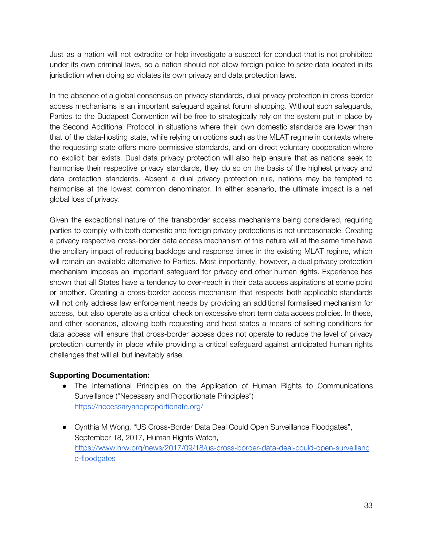Just as a nation will not extradite or help investigate a suspect for conduct that is not prohibited under its own criminal laws, so a nation should not allow foreign police to seize data located in its jurisdiction when doing so violates its own privacy and data protection laws.

In the absence of a global consensus on privacy standards, dual privacy protection in cross-border access mechanisms is an important safeguard against forum shopping. Without such safeguards, Parties to the Budapest Convention will be free to strategically rely on the system put in place by the Second Additional Protocol in situations where their own domestic standards are lower than that of the data-hosting state, while relying on options such as the MLAT regime in contexts where the requesting state offers more permissive standards, and on direct voluntary cooperation where no explicit bar exists. Dual data privacy protection will also help ensure that as nations seek to harmonise their respective privacy standards, they do so on the basis of the highest privacy and data protection standards. Absent a dual privacy protection rule, nations may be tempted to harmonise at the lowest common denominator. In either scenario, the ultimate impact is a net global loss of privacy.

Given the exceptional nature of the transborder access mechanisms being considered, requiring parties to comply with both domestic and foreign privacy protections is not unreasonable. Creating a privacy respective cross-border data access mechanism of this nature will at the same time have the ancillary impact of reducing backlogs and response times in the existing MLAT regime, which will remain an available alternative to Parties. Most importantly, however, a dual privacy protection mechanism imposes an important safeguard for privacy and other human rights. Experience has shown that all States have a tendency to over-reach in their data access aspirations at some point or another. Creating a cross-border access mechanism that respects both applicable standards will not only address law enforcement needs by providing an additional formalised mechanism for access, but also operate as a critical check on excessive short term data access policies. In these, and other scenarios, allowing both requesting and host states a means of setting conditions for data access will ensure that cross-border access does not operate to reduce the level of privacy protection currently in place while providing a critical safeguard against anticipated human rights challenges that will all but inevitably arise.

## **Supporting Documentation:**

- The International Principles on the Application of Human Rights to Communications Surveillance ("Necessary and Proportionate Principles") <https://necessaryandproportionate.org/>
- Cynthia M Wong, "US Cross-Border Data Deal Could Open Surveillance Floodgates", September 18, 2017, Human Rights Watch, [https://www.hrw.org/news/2017/09/18/us-cross-border-data-deal-could-open-surveillanc](https://www.hrw.org/news/2017/09/18/us-cross-border-data-deal-could-open-surveillance-floodgates) [e-floodgates](https://www.hrw.org/news/2017/09/18/us-cross-border-data-deal-could-open-surveillance-floodgates)